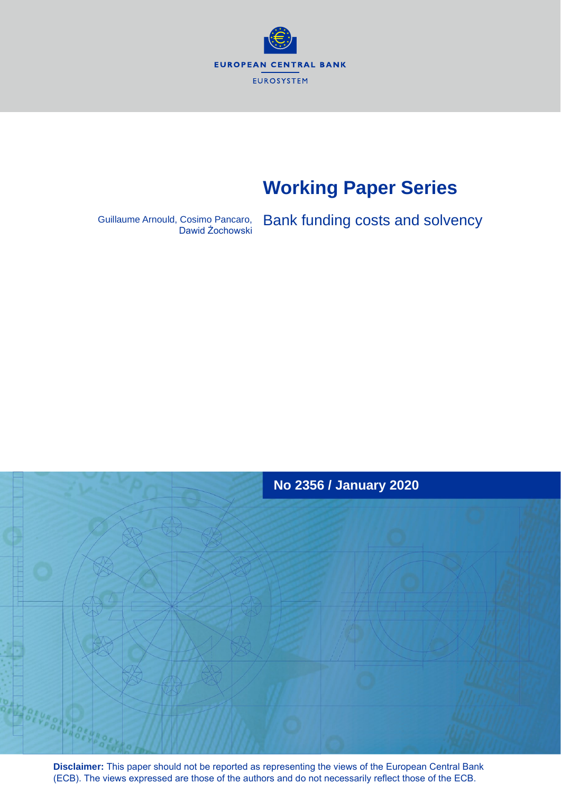

# **Working Paper Series**

Guillaume Arnould, Cosimo Pancaro, Bank funding costs and solvency



**Disclaimer:** This paper should not be reported as representing the views of the European Central Bank (ECB). The views expressed are those of the authors and do not necessarily reflect those of the ECB.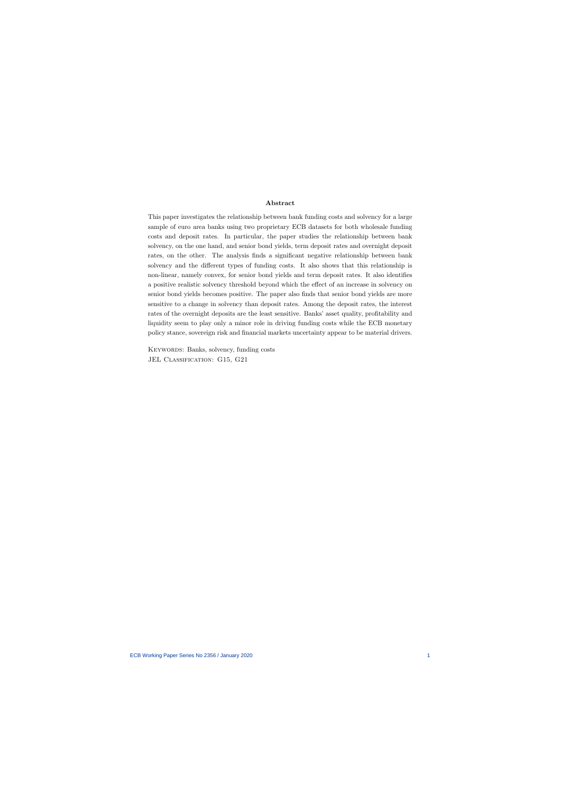#### Abstract

This paper investigates the relationship between bank funding costs and solvency for a large sample of euro area banks using two proprietary ECB datasets for both wholesale funding costs and deposit rates. In particular, the paper studies the relationship between bank solvency, on the one hand, and senior bond yields, term deposit rates and overnight deposit rates, on the other. The analysis finds a significant negative relationship between bank solvency and the different types of funding costs. It also shows that this relationship is non-linear, namely convex, for senior bond yields and term deposit rates. It also identifies a positive realistic solvency threshold beyond which the effect of an increase in solvency on senior bond yields becomes positive. The paper also finds that senior bond yields are more sensitive to a change in solvency than deposit rates. Among the deposit rates, the interest rates of the overnight deposits are the least sensitive. Banks' asset quality, profitability and liquidity seem to play only a minor role in driving funding costs while the ECB monetary policy stance, sovereign risk and financial markets uncertainty appear to be material drivers.

KEYWORDS: Banks, solvency, funding costs JEL CLASSIFICATION: G15, G21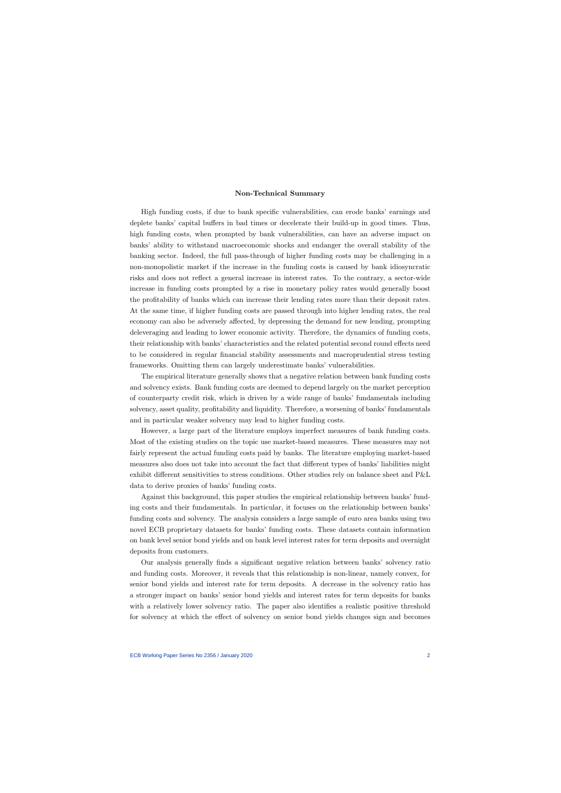## Non-Technical Summary

High funding costs, if due to bank specific vulnerabilities, can erode banks' earnings and deplete banks' capital buffers in bad times or decelerate their build-up in good times. Thus, high funding costs, when prompted by bank vulnerabilities, can have an adverse impact on banks' ability to withstand macroeconomic shocks and endanger the overall stability of the banking sector. Indeed, the full pass-through of higher funding costs may be challenging in a non-monopolistic market if the increase in the funding costs is caused by bank idiosyncratic risks and does not reflect a general increase in interest rates. To the contrary, a sector-wide increase in funding costs prompted by a rise in monetary policy rates would generally boost the profitability of banks which can increase their lending rates more than their deposit rates. At the same time, if higher funding costs are passed through into higher lending rates, the real economy can also be adversely affected, by depressing the demand for new lending, prompting deleveraging and leading to lower economic activity. Therefore, the dynamics of funding costs, their relationship with banks' characteristics and the related potential second round effects need to be considered in regular financial stability assessments and macroprudential stress testing frameworks. Omitting them can largely underestimate banks' vulnerabilities.

The empirical literature generally shows that a negative relation between bank funding costs and solvency exists. Bank funding costs are deemed to depend largely on the market perception of counterparty credit risk, which is driven by a wide range of banks' fundamentals including solvency, asset quality, profitability and liquidity. Therefore, a worsening of banks' fundamentals and in particular weaker solvency may lead to higher funding costs.

However, a large part of the literature employs imperfect measures of bank funding costs. Most of the existing studies on the topic use market-based measures. These measures may not fairly represent the actual funding costs paid by banks. The literature employing market-based measures also does not take into account the fact that different types of banks' liabilities might exhibit different sensitivities to stress conditions. Other studies rely on balance sheet and P&L data to derive proxies of banks' funding costs.

Against this background, this paper studies the empirical relationship between banks' funding costs and their fundamentals. In particular, it focuses on the relationship between banks' funding costs and solvency. The analysis considers a large sample of euro area banks using two novel ECB proprietary datasets for banks' funding costs. These datasets contain information on bank level senior bond yields and on bank level interest rates for term deposits and overnight deposits from customers.

Our analysis generally finds a significant negative relation between banks' solvency ratio and funding costs. Moreover, it reveals that this relationship is non-linear, namely convex, for senior bond yields and interest rate for term deposits. A decrease in the solvency ratio has a stronger impact on banks' senior bond yields and interest rates for term deposits for banks with a relatively lower solvency ratio. The paper also identifies a realistic positive threshold for solvency at which the effect of solvency on senior bond yields changes sign and becomes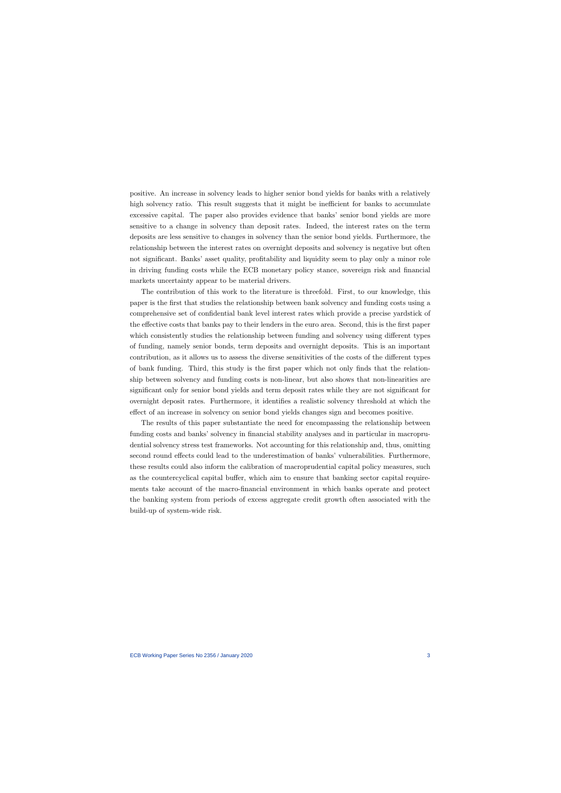positive. An increase in solvency leads to higher senior bond yields for banks with a relatively high solvency ratio. This result suggests that it might be inefficient for banks to accumulate excessive capital. The paper also provides evidence that banks' senior bond yields are more sensitive to a change in solvency than deposit rates. Indeed, the interest rates on the term deposits are less sensitive to changes in solvency than the senior bond yields. Furthermore, the relationship between the interest rates on overnight deposits and solvency is negative but often not significant. Banks' asset quality, profitability and liquidity seem to play only a minor role in driving funding costs while the ECB monetary policy stance, sovereign risk and financial markets uncertainty appear to be material drivers.

The contribution of this work to the literature is threefold. First, to our knowledge, this paper is the first that studies the relationship between bank solvency and funding costs using a comprehensive set of confidential bank level interest rates which provide a precise yardstick of the effective costs that banks pay to their lenders in the euro area. Second, this is the first paper which consistently studies the relationship between funding and solvency using different types of funding, namely senior bonds, term deposits and overnight deposits. This is an important contribution, as it allows us to assess the diverse sensitivities of the costs of the different types of bank funding. Third, this study is the first paper which not only finds that the relationship between solvency and funding costs is non-linear, but also shows that non-linearities are significant only for senior bond yields and term deposit rates while they are not significant for overnight deposit rates. Furthermore, it identifies a realistic solvency threshold at which the effect of an increase in solvency on senior bond yields changes sign and becomes positive.

The results of this paper substantiate the need for encompassing the relationship between funding costs and banks' solvency in financial stability analyses and in particular in macroprudential solvency stress test frameworks. Not accounting for this relationship and, thus, omitting second round effects could lead to the underestimation of banks' vulnerabilities. Furthermore, these results could also inform the calibration of macroprudential capital policy measures, such as the countercyclical capital buffer, which aim to ensure that banking sector capital requirements take account of the macro-financial environment in which banks operate and protect the banking system from periods of excess aggregate credit growth often associated with the build-up of system-wide risk.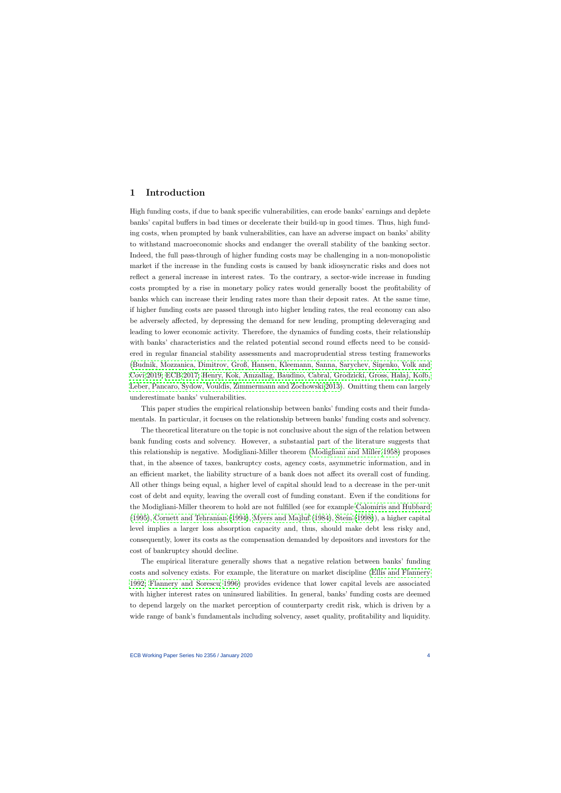## 1 Introduction

High funding costs, if due to bank specific vulnerabilities, can erode banks' earnings and deplete banks' capital buffers in bad times or decelerate their build-up in good times. Thus, high funding costs, when prompted by bank vulnerabilities, can have an adverse impact on banks' ability to withstand macroeconomic shocks and endanger the overall stability of the banking sector. Indeed, the full pass-through of higher funding costs may be challenging in a non-monopolistic market if the increase in the funding costs is caused by bank idiosyncratic risks and does not reflect a general increase in interest rates. To the contrary, a sector-wide increase in funding costs prompted by a rise in monetary policy rates would generally boost the profitability of banks which can increase their lending rates more than their deposit rates. At the same time, if higher funding costs are passed through into higher lending rates, the real economy can also be adversely affected, by depressing the demand for new lending, prompting deleveraging and leading to lower economic activity. Therefore, the dynamics of funding costs, their relationship with banks' characteristics and the related potential second round effects need to be considered in regular financial stability assessments and macroprudential stress testing frameworks (Budnik, Mozzanica, Dimitrov, Groß, Hansen, Kleemann, Sanna, Sarychev, Sinenko, Volk and [Covi 2019;](#page-22-0) [ECB 2017;](#page-23-0) Henry, Kok, Amzallag, Baudino, Cabral, Grodzicki, Gross, Hałaj, Kolb, [Leber, Pancaro, Sydow, Vouldis, Zimmermann and Zochowski 2013\)](#page-23-1). Omitting them can largely underestimate banks' vulnerabilities.

This paper studies the empirical relationship between banks' funding costs and their fundamentals. In particular, it focuses on the relationship between banks' funding costs and solvency.

The theoretical literature on the topic is not conclusive about the sign of the relation between bank funding costs and solvency. However, a substantial part of the literature suggests that this relationship is negative. Modigliani-Miller theorem [\(Modigliani and Miller 1958\)](#page-23-2) proposes that, in the absence of taxes, bankruptcy costs, agency costs, asymmetric information, and in an efficient market, the liability structure of a bank does not affect its overall cost of funding. All other things being equal, a higher level of capital should lead to a decrease in the per-unit cost of debt and equity, leaving the overall cost of funding constant. Even if the conditions for the Modigliani-Miller theorem to hold are not fulfilled (see for example [Calomiris and Hubbard](#page-22-1) [\(1995\)](#page-22-1), [Cornett and Tehranian](#page-22-2) [\(1994\)](#page-22-2), [Myers and Majluf](#page-23-3) [\(1984\)](#page-23-3), [Stein](#page-23-4) [\(1998\)](#page-23-4)), a higher capital level implies a larger loss absorption capacity and, thus, should make debt less risky and, consequently, lower its costs as the compensation demanded by depositors and investors for the cost of bankruptcy should decline.

The empirical literature generally shows that a negative relation between banks' funding costs and solvency exists. For example, the literature on market discipline [\(Ellis and Flannery](#page-23-5) [1992;](#page-23-5) [Flannery and Sorescu 1996\)](#page-23-6) provides evidence that lower capital levels are associated with higher interest rates on uninsured liabilities. In general, banks' funding costs are deemed to depend largely on the market perception of counterparty credit risk, which is driven by a wide range of bank's fundamentals including solvency, asset quality, profitability and liquidity.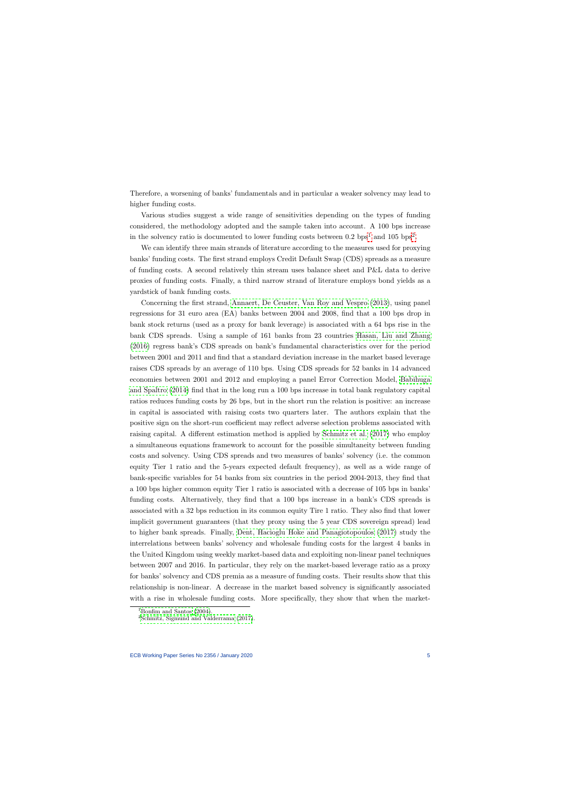Therefore, a worsening of banks' fundamentals and in particular a weaker solvency may lead to higher funding costs.

Various studies suggest a wide range of sensitivities depending on the types of funding considered, the methodology adopted and the sample taken into account. A 100 bps increase in the solvency ratio is documented to lower funding costs between 0.[2](#page-5-1)  $bps<sup>1</sup>$  $bps<sup>1</sup>$  $bps<sup>1</sup>$  and 105  $bps<sup>2</sup>$ .

We can identify three main strands of literature according to the measures used for proxying banks' funding costs. The first strand employs Credit Default Swap (CDS) spreads as a measure of funding costs. A second relatively thin stream uses balance sheet and P&L data to derive proxies of funding costs. Finally, a third narrow strand of literature employs bond yields as a yardstick of bank funding costs.

Concerning the first strand, [Annaert, De Ceuster, Van Roy and Vespro](#page-22-3) [\(2013\)](#page-22-3), using panel regressions for 31 euro area (EA) banks between 2004 and 2008, find that a 100 bps drop in bank stock returns (used as a proxy for bank leverage) is associated with a 64 bps rise in the bank CDS spreads. Using a sample of 161 banks from 23 countries [Hasan, Liu and Zhang](#page-23-7) [\(2016\)](#page-23-7) regress bank's CDS spreads on bank's fundamental characteristics over for the period between 2001 and 2011 and find that a standard deviation increase in the market based leverage raises CDS spreads by an average of 110 bps. Using CDS spreads for 52 banks in 14 advanced economies between 2001 and 2012 and employing a panel Error Correction Model, [Babihuga](#page-22-4) [and Spaltro](#page-22-4) [\(2014\)](#page-22-4) find that in the long run a 100 bps increase in total bank regulatory capital ratios reduces funding costs by 26 bps, but in the short run the relation is positive: an increase in capital is associated with raising costs two quarters later. The authors explain that the positive sign on the short-run coefficient may reflect adverse selection problems associated with raising capital. A different estimation method is applied by [Schmitz et al.](#page-23-8) [\(2017\)](#page-23-8) who employ a simultaneous equations framework to account for the possible simultaneity between funding costs and solvency. Using CDS spreads and two measures of banks' solvency (i.e. the common equity Tier 1 ratio and the 5-years expected default frequency), as well as a wide range of bank-specific variables for 54 banks from six countries in the period 2004-2013, they find that a 100 bps higher common equity Tier 1 ratio is associated with a decrease of 105 bps in banks' funding costs. Alternatively, they find that a 100 bps increase in a bank's CDS spreads is associated with a 32 bps reduction in its common equity Tire 1 ratio. They also find that lower implicit government guarantees (that they proxy using the 5 year CDS sovereign spread) lead to higher bank spreads. Finally, [Dent, Hacioglu Hoke and Panagiotopoulos](#page-23-9) [\(2017\)](#page-23-9) study the interrelations between banks' solvency and wholesale funding costs for the largest 4 banks in the United Kingdom using weekly market-based data and exploiting non-linear panel techniques between 2007 and 2016. In particular, they rely on the market-based leverage ratio as a proxy for banks' solvency and CDS premia as a measure of funding costs. Their results show that this relationship is non-linear. A decrease in the market based solvency is significantly associated with a rise in wholesale funding costs. More specifically, they show that when the market-

<sup>&</sup>lt;sup>1</sup>[Bonfim and Santos](#page-22-5)  $(2004)$ .

<span id="page-5-1"></span><span id="page-5-0"></span> $2$ [Schmitz, Sigmund and Valderrama](#page-23-8)  $(2017)$ .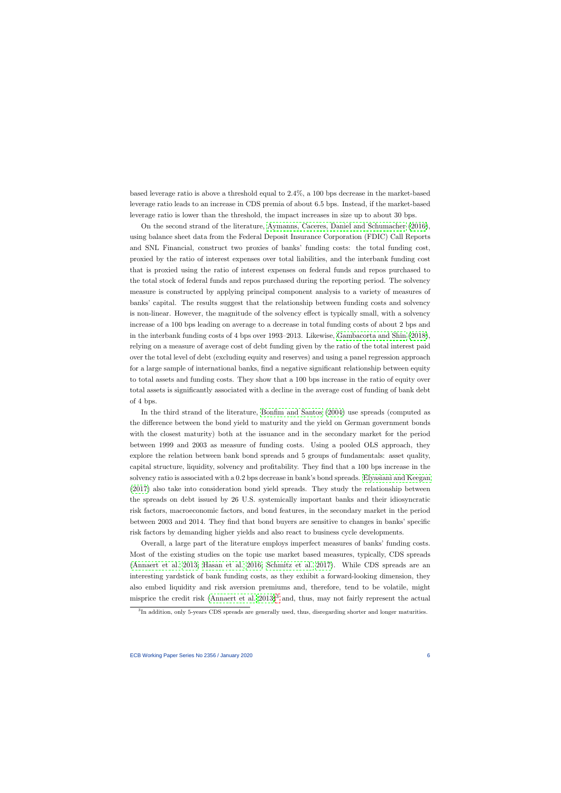based leverage ratio is above a threshold equal to 2.4%, a 100 bps decrease in the market-based leverage ratio leads to an increase in CDS premia of about 6.5 bps. Instead, if the market-based leverage ratio is lower than the threshold, the impact increases in size up to about 30 bps.

On the second strand of the literature, [Aymanns, Caceres, Daniel and Schumacher](#page-22-6) [\(2016\)](#page-22-6), using balance sheet data from the Federal Deposit Insurance Corporation (FDIC) Call Reports and SNL Financial, construct two proxies of banks' funding costs: the total funding cost, proxied by the ratio of interest expenses over total liabilities, and the interbank funding cost that is proxied using the ratio of interest expenses on federal funds and repos purchased to the total stock of federal funds and repos purchased during the reporting period. The solvency measure is constructed by applying principal component analysis to a variety of measures of banks' capital. The results suggest that the relationship between funding costs and solvency is non-linear. However, the magnitude of the solvency effect is typically small, with a solvency increase of a 100 bps leading on average to a decrease in total funding costs of about 2 bps and in the interbank funding costs of 4 bps over 1993–2013. Likewise, [Gambacorta and Shin](#page-23-10) [\(2018\)](#page-23-10), relying on a measure of average cost of debt funding given by the ratio of the total interest paid over the total level of debt (excluding equity and reserves) and using a panel regression approach for a large sample of international banks, find a negative significant relationship between equity to total assets and funding costs. They show that a 100 bps increase in the ratio of equity over total assets is significantly associated with a decline in the average cost of funding of bank debt of 4 bps.

In the third strand of the literature, [Bonfim and Santos](#page-22-5) [\(2004\)](#page-22-5) use spreads (computed as the difference between the bond yield to maturity and the yield on German government bonds with the closest maturity) both at the issuance and in the secondary market for the period between 1999 and 2003 as measure of funding costs. Using a pooled OLS approach, they explore the relation between bank bond spreads and 5 groups of fundamentals: asset quality, capital structure, liquidity, solvency and profitability. They find that a 100 bps increase in the solvency ratio is associated with a 0.2 bps decrease in bank's bond spreads. [Elyasiani and Keegan](#page-23-11) [\(2017\)](#page-23-11) also take into consideration bond yield spreads. They study the relationship between the spreads on debt issued by 26 U.S. systemically important banks and their idiosyncratic risk factors, macroeconomic factors, and bond features, in the secondary market in the period between 2003 and 2014. They find that bond buyers are sensitive to changes in banks' specific risk factors by demanding higher yields and also react to business cycle developments.

Overall, a large part of the literature employs imperfect measures of banks' funding costs. Most of the existing studies on the topic use market based measures, typically, CDS spreads [\(Annaert et al. 2013;](#page-22-3) [Hasan et al. 2016;](#page-23-7) [Schmitz et al. 2017\)](#page-23-8). While CDS spreads are an interesting yardstick of bank funding costs, as they exhibit a forward-looking dimension, they also embed liquidity and risk aversion premiums and, therefore, tend to be volatile, might misprice the credit risk (Annaert et al.  $2013$  $2013$ )<sup>3</sup> and, thus, may not fairly represent the actual

<span id="page-6-0"></span><sup>&</sup>lt;sup>3</sup>In addition, only 5-years CDS spreads are generally used, thus, disregarding shorter and longer maturities.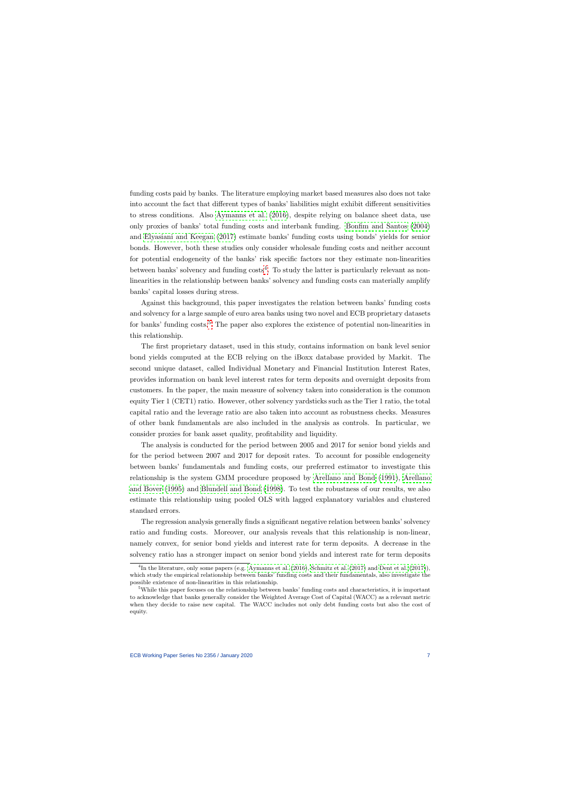funding costs paid by banks. The literature employing market based measures also does not take into account the fact that different types of banks' liabilities might exhibit different sensitivities to stress conditions. Also [Aymanns et al.](#page-22-6) [\(2016\)](#page-22-6), despite relying on balance sheet data, use only proxies of banks' total funding costs and interbank funding. [Bonfim and Santos](#page-22-5) [\(2004\)](#page-22-5) and [Elyasiani and Keegan](#page-23-11) [\(2017\)](#page-23-11) estimate banks' funding costs using bonds' yields for senior bonds. However, both these studies only consider wholesale funding costs and neither account for potential endogeneity of the banks' risk specific factors nor they estimate non-linearities between banks' solvency and funding  $costs<sup>4</sup>$  $costs<sup>4</sup>$  $costs<sup>4</sup>$ . To study the latter is particularly relevant as nonlinearities in the relationship between banks' solvency and funding costs can materially amplify banks' capital losses during stress.

Against this background, this paper investigates the relation between banks' funding costs and solvency for a large sample of euro area banks using two novel and ECB proprietary datasets for banks' funding costs.<sup>[5](#page-7-1)</sup> The paper also explores the existence of potential non-linearities in this relationship.

The first proprietary dataset, used in this study, contains information on bank level senior bond yields computed at the ECB relying on the iBoxx database provided by Markit. The second unique dataset, called Individual Monetary and Financial Institution Interest Rates, provides information on bank level interest rates for term deposits and overnight deposits from customers. In the paper, the main measure of solvency taken into consideration is the common equity Tier 1 (CET1) ratio. However, other solvency yardsticks such as the Tier 1 ratio, the total capital ratio and the leverage ratio are also taken into account as robustness checks. Measures of other bank fundamentals are also included in the analysis as controls. In particular, we consider proxies for bank asset quality, profitability and liquidity.

The analysis is conducted for the period between 2005 and 2017 for senior bond yields and for the period between 2007 and 2017 for deposit rates. To account for possible endogeneity between banks' fundamentals and funding costs, our preferred estimator to investigate this relationship is the system GMM procedure proposed by [Arellano and Bond](#page-22-7) [\(1991\)](#page-22-7), [Arellano](#page-22-8) [and Bover](#page-22-8) [\(1995\)](#page-22-8) and [Blundell and Bond](#page-22-9) [\(1998\)](#page-22-9). To test the robustness of our results, we also estimate this relationship using pooled OLS with lagged explanatory variables and clustered standard errors.

The regression analysis generally finds a significant negative relation between banks' solvency ratio and funding costs. Moreover, our analysis reveals that this relationship is non-linear, namely convex, for senior bond yields and interest rate for term deposits. A decrease in the solvency ratio has a stronger impact on senior bond yields and interest rate for term deposits

<sup>&</sup>lt;sup>4</sup>In the literature, only some papers (e.g. [Aymanns et al.](#page-22-6) [\(2016\)](#page-22-6), [Schmitz et al.](#page-23-8) [\(2017\)](#page-23-9) and [Dent et al.](#page-23-9) (2017)), which study the empirical relationship between banks' funding costs and their fundamentals, also investigate the possible existence of non-linearities in this relationship.

<span id="page-7-1"></span><span id="page-7-0"></span><sup>5</sup>While this paper focuses on the relationship between banks' funding costs and characteristics, it is important to acknowledge that banks generally consider the Weighted Average Cost of Capital (WACC) as a relevant metric when they decide to raise new capital. The WACC includes not only debt funding costs but also the cost of equity.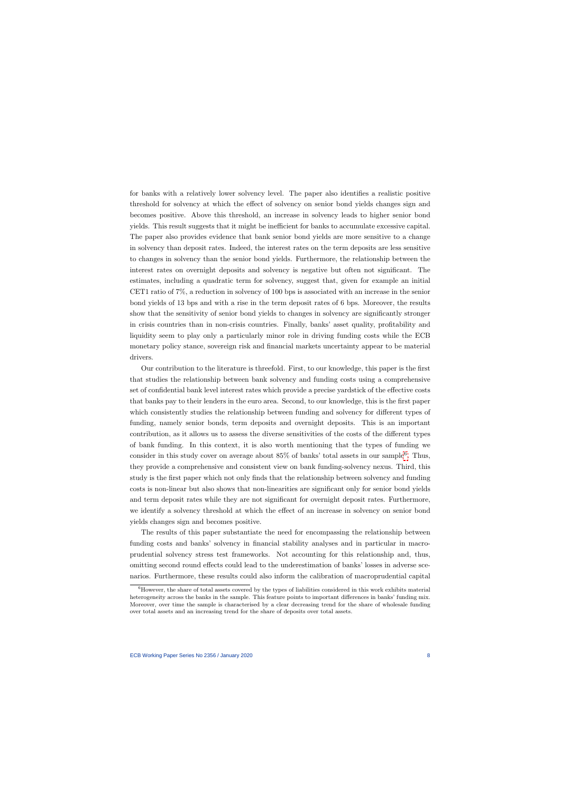for banks with a relatively lower solvency level. The paper also identifies a realistic positive threshold for solvency at which the effect of solvency on senior bond yields changes sign and becomes positive. Above this threshold, an increase in solvency leads to higher senior bond yields. This result suggests that it might be inefficient for banks to accumulate excessive capital. The paper also provides evidence that bank senior bond yields are more sensitive to a change in solvency than deposit rates. Indeed, the interest rates on the term deposits are less sensitive to changes in solvency than the senior bond yields. Furthermore, the relationship between the interest rates on overnight deposits and solvency is negative but often not significant. The estimates, including a quadratic term for solvency, suggest that, given for example an initial CET1 ratio of 7%, a reduction in solvency of 100 bps is associated with an increase in the senior bond yields of 13 bps and with a rise in the term deposit rates of 6 bps. Moreover, the results show that the sensitivity of senior bond yields to changes in solvency are significantly stronger in crisis countries than in non-crisis countries. Finally, banks' asset quality, profitability and liquidity seem to play only a particularly minor role in driving funding costs while the ECB monetary policy stance, sovereign risk and financial markets uncertainty appear to be material drivers.

Our contribution to the literature is threefold. First, to our knowledge, this paper is the first that studies the relationship between bank solvency and funding costs using a comprehensive set of confidential bank level interest rates which provide a precise yardstick of the effective costs that banks pay to their lenders in the euro area. Second, to our knowledge, this is the first paper which consistently studies the relationship between funding and solvency for different types of funding, namely senior bonds, term deposits and overnight deposits. This is an important contribution, as it allows us to assess the diverse sensitivities of the costs of the different types of bank funding. In this context, it is also worth mentioning that the types of funding we consider in this study cover on average about  $85\%$  of banks' total assets in our sample<sup>[6](#page-8-0)</sup>. Thus, they provide a comprehensive and consistent view on bank funding-solvency nexus. Third, this study is the first paper which not only finds that the relationship between solvency and funding costs is non-linear but also shows that non-linearities are significant only for senior bond yields and term deposit rates while they are not significant for overnight deposit rates. Furthermore, we identify a solvency threshold at which the effect of an increase in solvency on senior bond yields changes sign and becomes positive.

The results of this paper substantiate the need for encompassing the relationship between funding costs and banks' solvency in financial stability analyses and in particular in macroprudential solvency stress test frameworks. Not accounting for this relationship and, thus, omitting second round effects could lead to the underestimation of banks' losses in adverse scenarios. Furthermore, these results could also inform the calibration of macroprudential capital

<span id="page-8-0"></span> ${}^{6}$ However, the share of total assets covered by the types of liabilities considered in this work exhibits material heterogeneity across the banks in the sample. This feature points to important differences in banks' funding mix. Moreover, over time the sample is characterised by a clear decreasing trend for the share of wholesale funding over total assets and an increasing trend for the share of deposits over total assets.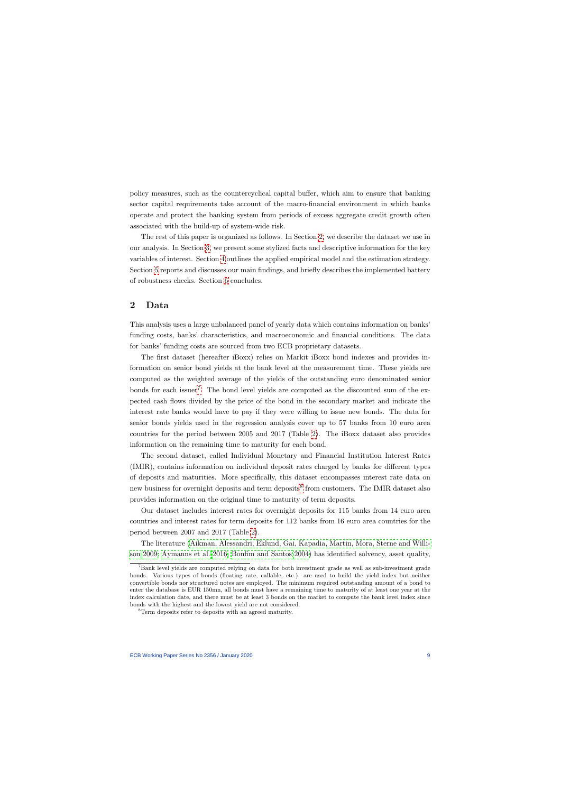policy measures, such as the countercyclical capital buffer, which aim to ensure that banking sector capital requirements take account of the macro-financial environment in which banks operate and protect the banking system from periods of excess aggregate credit growth often associated with the build-up of system-wide risk.

The rest of this paper is organized as follows. In Section [2,](#page-9-0) we describe the dataset we use in our analysis. In Section [3,](#page-10-0) we present some stylized facts and descriptive information for the key variables of interest. Section [4](#page-12-0) outlines the applied empirical model and the estimation strategy. Section [5](#page-14-0) reports and discusses our main findings, and briefly describes the implemented battery of robustness checks. Section [6](#page-20-0) concludes.

## 2 Data

This analysis uses a large unbalanced panel of yearly data which contains information on banks' funding costs, banks' characteristics, and macroeconomic and financial conditions. The data for banks' funding costs are sourced from two ECB proprietary datasets.

The first dataset (hereafter iBoxx) relies on Markit iBoxx bond indexes and provides information on senior bond yields at the bank level at the measurement time. These yields are computed as the weighted average of the yields of the outstanding euro denominated senior bonds for each issuer<sup>[7](#page-9-1)</sup>. The bond level yields are computed as the discounted sum of the expected cash flows divided by the price of the bond in the secondary market and indicate the interest rate banks would have to pay if they were willing to issue new bonds. The data for senior bonds yields used in the regression analysis cover up to 57 banks from 10 euro area countries for the period between 2005 and 2017 (Table [2\)](#page-25-0). The iBoxx dataset also provides information on the remaining time to maturity for each bond.

<span id="page-9-0"></span>The second dataset, called Individual Monetary and Financial Institution Interest Rates (IMIR), contains information on individual deposit rates charged by banks for different types of deposits and maturities. More specifically, this dataset encompasses interest rate data on new business for overnight deposits and term deposits<sup>[8](#page-9-2)</sup> from customers. The IMIR dataset also provides information on the original time to maturity of term deposits.

Our dataset includes interest rates for overnight deposits for 115 banks from 14 euro area countries and interest rates for term deposits for 112 banks from 16 euro area countries for the period between 2007 and 2017 (Table [2\)](#page-25-0).

The literature [\(Aikman, Alessandri, Eklund, Gai, Kapadia, Martin, Mora, Sterne and Willi](#page-22-10)[son 2009;](#page-22-10) [Aymanns et al. 2016;](#page-22-6) [Bonfim and Santos 2004\)](#page-22-5) has identified solvency, asset quality,

<sup>7</sup>Bank level yields are computed relying on data for both investment grade as well as sub-investment grade bonds. Various types of bonds (floating rate, callable, etc.) are used to build the yield index but neither convertible bonds nor structured notes are employed. The minimum required outstanding amount of a bond to enter the database is EUR 150mn, all bonds must have a remaining time to maturity of at least one year at the index calculation date, and there must be at least 3 bonds on the market to compute the bank level index since bonds with the highest and the lowest yield are not considered.

<span id="page-9-2"></span><span id="page-9-1"></span><sup>&</sup>lt;sup>8</sup>Term deposits refer to deposits with an agreed maturity.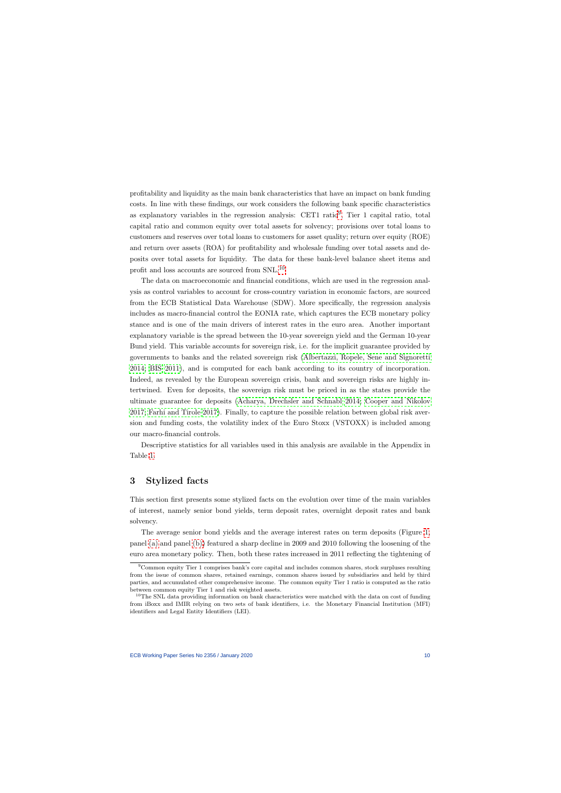profitability and liquidity as the main bank characteristics that have an impact on bank funding costs. In line with these findings, our work considers the following bank specific characteristics as explanatory variables in the regression analysis: CET1 ratio<sup>[9](#page-10-1)</sup>, Tier 1 capital ratio, total capital ratio and common equity over total assets for solvency; provisions over total loans to customers and reserves over total loans to customers for asset quality; return over equity (ROE) and return over assets (ROA) for profitability and wholesale funding over total assets and deposits over total assets for liquidity. The data for these bank-level balance sheet items and profit and loss accounts are sourced from SNL.[10](#page-10-2)

The data on macroeconomic and financial conditions, which are used in the regression analysis as control variables to account for cross-country variation in economic factors, are sourced from the ECB Statistical Data Warehouse (SDW). More specifically, the regression analysis includes as macro-financial control the EONIA rate, which captures the ECB monetary policy stance and is one of the main drivers of interest rates in the euro area. Another important explanatory variable is the spread between the 10-year sovereign yield and the German 10-year Bund yield. This variable accounts for sovereign risk, i.e. for the implicit guarantee provided by governments to banks and the related sovereign risk [\(Albertazzi, Ropele, Sene and Signoretti](#page-22-11) [2014;](#page-22-11) [BIS 2011\)](#page-22-12), and is computed for each bank according to its country of incorporation. Indeed, as revealed by the European sovereign crisis, bank and sovereign risks are highly intertwined. Even for deposits, the sovereign risk must be priced in as the states provide the ultimate guarantee for deposits [\(Acharya, Drechsler and Schnabl 2014;](#page-22-13) [Cooper and Nikolov](#page-22-14) [2017;](#page-22-14) [Farhi and Tirole 2017\)](#page-23-12). Finally, to capture the possible relation between global risk aversion and funding costs, the volatility index of the Euro Stoxx (VSTOXX) is included among our macro-financial controls.

Descriptive statistics for all variables used in this analysis are available in the Appendix in Table [1.](#page-24-0)

## 3 Stylized facts

This section first presents some stylized facts on the evolution over time of the main variables of interest, namely senior bond yields, term deposit rates, overnight deposit rates and bank solvency.

The average senior bond yields and the average interest rates on term deposits (Figure [1,](#page-12-1) panel [\(a\)](#page-12-2) and panel [\(b\)\)](#page-12-3) featured a sharp decline in 2009 and 2010 following the loosening of the euro area monetary policy. Then, both these rates increased in 2011 reflecting the tightening of

<sup>9</sup>Common equity Tier 1 comprises bank's core capital and includes common shares, stock surpluses resulting from the issue of common shares, retained earnings, common shares issued by subsidiaries and held by third parties, and accumulated other comprehensive income. The common equity Tier 1 ratio is computed as the ratio between common equity Tier 1 and risk weighted assets.

<span id="page-10-2"></span><span id="page-10-1"></span><span id="page-10-0"></span> $10$ The SNL data providing information on bank characteristics were matched with the data on cost of funding from iBoxx and IMIR relying on two sets of bank identifiers, i.e. the Monetary Financial Institution (MFI) identifiers and Legal Entity Identifiers (LEI).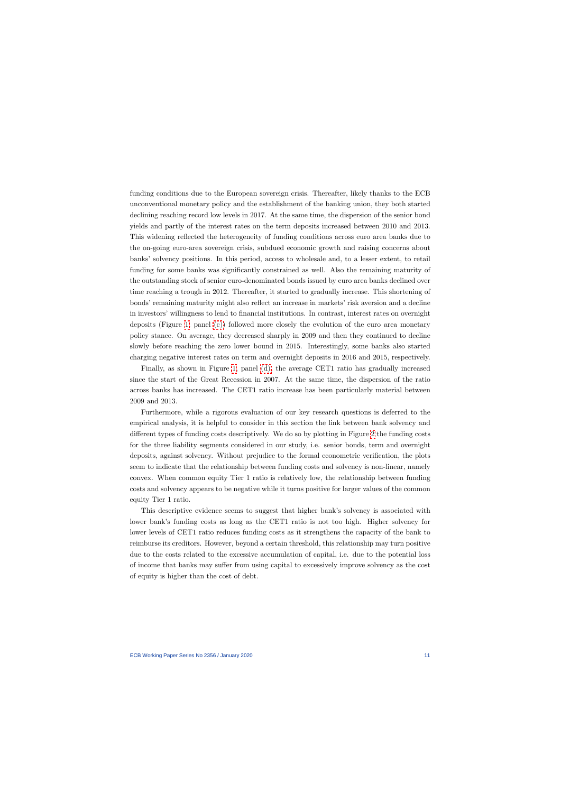funding conditions due to the European sovereign crisis. Thereafter, likely thanks to the ECB unconventional monetary policy and the establishment of the banking union, they both started declining reaching record low levels in 2017. At the same time, the dispersion of the senior bond yields and partly of the interest rates on the term deposits increased between 2010 and 2013. This widening reflected the heterogeneity of funding conditions across euro area banks due to the on-going euro-area sovereign crisis, subdued economic growth and raising concerns about banks' solvency positions. In this period, access to wholesale and, to a lesser extent, to retail funding for some banks was significantly constrained as well. Also the remaining maturity of the outstanding stock of senior euro-denominated bonds issued by euro area banks declined over time reaching a trough in 2012. Thereafter, it started to gradually increase. This shortening of bonds' remaining maturity might also reflect an increase in markets' risk aversion and a decline in investors' willingness to lend to financial institutions. In contrast, interest rates on overnight deposits (Figure [1,](#page-12-1) panel [\(c\)\)](#page-12-4) followed more closely the evolution of the euro area monetary policy stance. On average, they decreased sharply in 2009 and then they continued to decline slowly before reaching the zero lower bound in 2015. Interestingly, some banks also started charging negative interest rates on term and overnight deposits in 2016 and 2015, respectively.

Finally, as shown in Figure [1,](#page-12-1) panel [\(d\),](#page-12-5) the average CET1 ratio has gradually increased since the start of the Great Recession in 2007. At the same time, the dispersion of the ratio across banks has increased. The CET1 ratio increase has been particularly material between 2009 and 2013.

Furthermore, while a rigorous evaluation of our key research questions is deferred to the empirical analysis, it is helpful to consider in this section the link between bank solvency and different types of funding costs descriptively. We do so by plotting in Figure [2](#page-13-0) the funding costs for the three liability segments considered in our study, i.e. senior bonds, term and overnight deposits, against solvency. Without prejudice to the formal econometric verification, the plots seem to indicate that the relationship between funding costs and solvency is non-linear, namely convex. When common equity Tier 1 ratio is relatively low, the relationship between funding costs and solvency appears to be negative while it turns positive for larger values of the common equity Tier 1 ratio.

This descriptive evidence seems to suggest that higher bank's solvency is associated with lower bank's funding costs as long as the CET1 ratio is not too high. Higher solvency for lower levels of CET1 ratio reduces funding costs as it strengthens the capacity of the bank to reimburse its creditors. However, beyond a certain threshold, this relationship may turn positive due to the costs related to the excessive accumulation of capital, i.e. due to the potential loss of income that banks may suffer from using capital to excessively improve solvency as the cost of equity is higher than the cost of debt.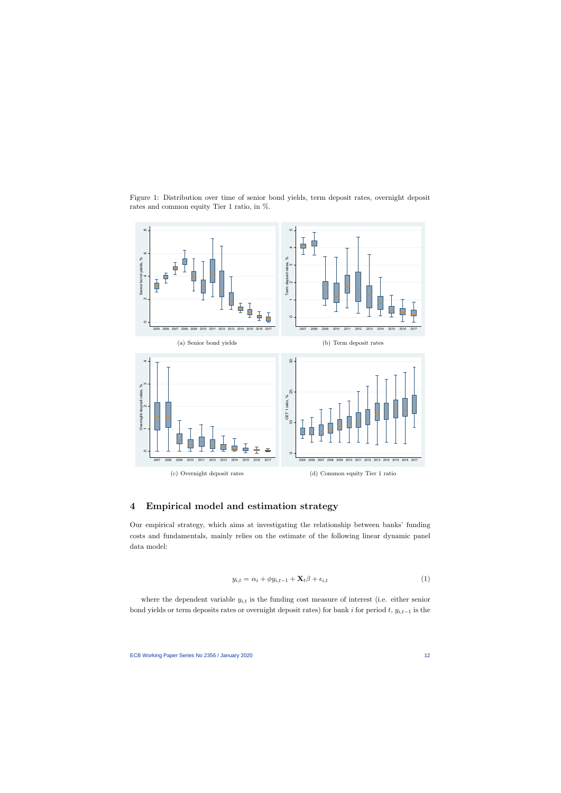

<span id="page-12-2"></span><span id="page-12-1"></span>Figure 1: Distribution over time of senior bond yields, term deposit rates, overnight deposit rates and common equity Tier 1 ratio, in %.

## <span id="page-12-3"></span>4 Empirical model and estimation strategy

Our empirical strategy, which aims at investigating the relationship between banks' funding costs and fundamentals, mainly relies on the estimate of the following linear dynamic panel data model:

<span id="page-12-5"></span>
$$
y_{i,t} = \alpha_i + \phi y_{i,t-1} + \mathbf{X}_t \beta + \epsilon_{i,t} \tag{1}
$$

<span id="page-12-6"></span><span id="page-12-4"></span><span id="page-12-0"></span>where the dependent variable  $y_{i,t}$  is the funding cost measure of interest (i.e. either senior bond yields or term deposits rates or overnight deposit rates) for bank i for period t,  $y_{i,t-1}$  is the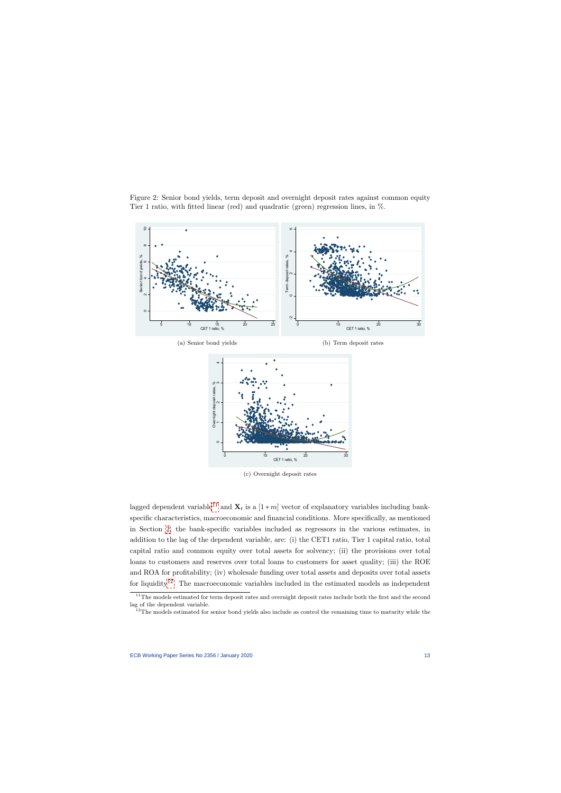

<span id="page-13-0"></span>

(c) Overnight deposit rates

lagged dependent variable<sup>[11](#page-13-1)</sup> and  $\mathbf{X}_t$  is a  $[1 * m]$  vector of explanatory variables including bankspecific characteristics, macroeconomic and financial conditions. More specifically, as mentioned in Section [2,](#page-9-0) the bank-specific variables included as regressors in the various estimates, in addition to the lag of the dependent variable, are: (i) the CET1 ratio, Tier 1 capital ratio, total capital ratio and common equity over total assets for solvency; (ii) the provisions over total loans to customers and reserves over total loans to customers for asset quality; (iii) the ROE and ROA for profitability; (iv) wholesale funding over total assets and deposits over total assets for liquidity<sup>[12](#page-13-2)</sup>. The macroeconomic variables included in the estimated models as independent

 $11$ The models estimated for term deposit rates and overnight deposit rates include both the first and the second lag of the dependent variable.

<span id="page-13-2"></span><span id="page-13-1"></span><sup>&</sup>lt;sup>12</sup>The models estimated for senior bond yields also include as control the remaining time to maturity while the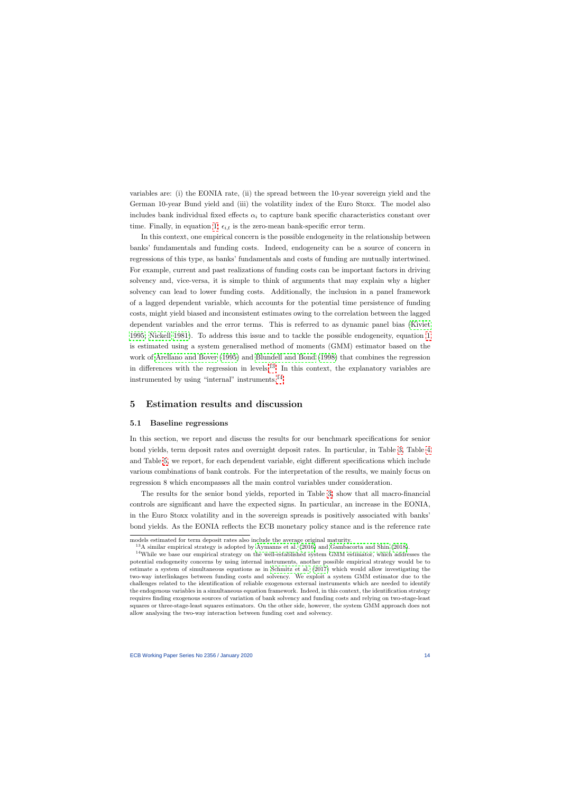variables are: (i) the EONIA rate, (ii) the spread between the 10-year sovereign yield and the German 10-year Bund yield and (iii) the volatility index of the Euro Stoxx. The model also includes bank individual fixed effects  $\alpha_i$  to capture bank specific characteristics constant over time. Finally, in equation [1,](#page-12-6)  $\epsilon_{i,t}$  is the zero-mean bank-specific error term.

In this context, one empirical concern is the possible endogeneity in the relationship between banks' fundamentals and funding costs. Indeed, endogeneity can be a source of concern in regressions of this type, as banks' fundamentals and costs of funding are mutually intertwined. For example, current and past realizations of funding costs can be important factors in driving solvency and, vice-versa, it is simple to think of arguments that may explain why a higher solvency can lead to lower funding costs. Additionally, the inclusion in a panel framework of a lagged dependent variable, which accounts for the potential time persistence of funding costs, might yield biased and inconsistent estimates owing to the correlation between the lagged dependent variables and the error terms. This is referred to as dynamic panel bias [\(Kiviet](#page-23-13) [1995;](#page-23-13) [Nickell 1981\)](#page-23-14). To address this issue and to tackle the possible endogeneity, equation [1](#page-12-6) is estimated using a system generalised method of moments (GMM) estimator based on the work of [Arellano and Bover](#page-22-8) [\(1995\)](#page-22-8) and [Blundell and Bond](#page-22-9) [\(1998\)](#page-22-9) that combines the regression in differences with the regression in levels.<sup>[13](#page-14-1)</sup> In this context, the explanatory variables are instrumented by using "internal" instruments.[14](#page-14-2)

## 5 Estimation results and discussion

#### 5.1 Baseline regressions

In this section, we report and discuss the results for our benchmark specifications for senior bond yields, term deposit rates and overnight deposit rates. In particular, in Table [3,](#page-26-0) Table [4](#page-27-0) and Table [5,](#page-28-0) we report, for each dependent variable, eight different specifications which include various combinations of bank controls. For the interpretation of the results, we mainly focus on regression 8 which encompasses all the main control variables under consideration.

<span id="page-14-0"></span>The results for the senior bond yields, reported in Table [3,](#page-26-0) show that all macro-financial controls are significant and have the expected signs. In particular, an increase in the EONIA, in the Euro Stoxx volatility and in the sovereign spreads is positively associated with banks' bond yields. As the EONIA reflects the ECB monetary policy stance and is the reference rate

models estimated for term deposit rates also include the average original maturity.

<sup>13</sup>A similar empirical strategy is adopted by [Aymanns et al.](#page-22-6) [\(2016\)](#page-22-6) and [Gambacorta and Shin](#page-23-10) [\(2018\)](#page-23-10).

<span id="page-14-2"></span><span id="page-14-1"></span><sup>&</sup>lt;sup>14</sup>While we base our empirical strategy on the well-established system GMM estimator, which addresses the potential endogeneity concerns by using internal instruments, another possible empirical strategy would be to estimate a system of simultaneous equations as in [Schmitz et al.](#page-23-8) [\(2017\)](#page-23-8) which would allow investigating the two-way interlinkages between funding costs and solvency. We exploit a system GMM estimator due to the challenges related to the identification of reliable exogenous external instruments which are needed to identify the endogenous variables in a simultaneous equation framework. Indeed, in this context, the identification strategy requires finding exogenous sources of variation of bank solvency and funding costs and relying on two-stage-least squares or three-stage-least squares estimators. On the other side, however, the system GMM approach does not allow analysing the two-way interaction between funding cost and solvency.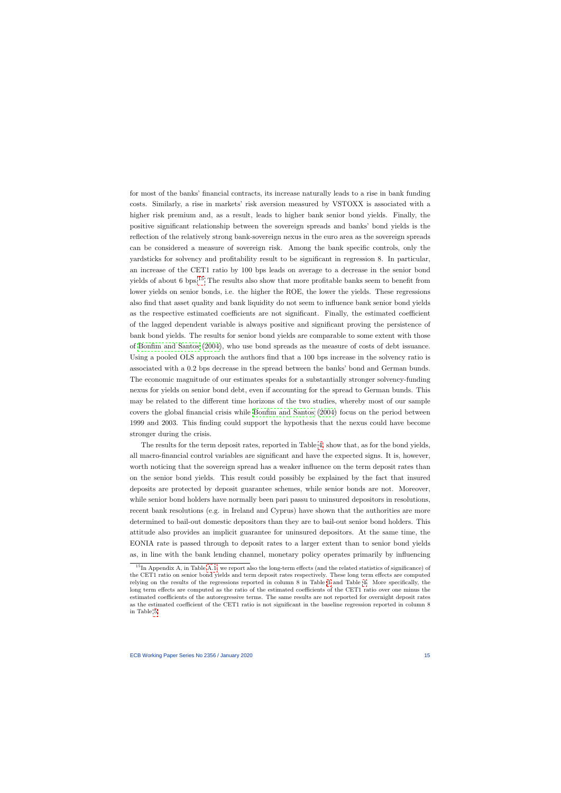for most of the banks' financial contracts, its increase naturally leads to a rise in bank funding costs. Similarly, a rise in markets' risk aversion measured by VSTOXX is associated with a higher risk premium and, as a result, leads to higher bank senior bond yields. Finally, the positive significant relationship between the sovereign spreads and banks' bond yields is the reflection of the relatively strong bank-sovereign nexus in the euro area as the sovereign spreads can be considered a measure of sovereign risk. Among the bank specific controls, only the yardsticks for solvency and profitability result to be significant in regression 8. In particular, an increase of the CET1 ratio by 100 bps leads on average to a decrease in the senior bond yields of about 6 bps.<sup>[15](#page-15-0)</sup> The results also show that more profitable banks seem to benefit from lower yields on senior bonds, i.e. the higher the ROE, the lower the yields. These regressions also find that asset quality and bank liquidity do not seem to influence bank senior bond yields as the respective estimated coefficients are not significant. Finally, the estimated coefficient of the lagged dependent variable is always positive and significant proving the persistence of bank bond yields. The results for senior bond yields are comparable to some extent with those of [Bonfim and Santos](#page-22-5) [\(2004\)](#page-22-5), who use bond spreads as the measure of costs of debt issuance. Using a pooled OLS approach the authors find that a 100 bps increase in the solvency ratio is associated with a 0.2 bps decrease in the spread between the banks' bond and German bunds. The economic magnitude of our estimates speaks for a substantially stronger solvency-funding nexus for yields on senior bond debt, even if accounting for the spread to German bunds. This may be related to the different time horizons of the two studies, whereby most of our sample covers the global financial crisis while [Bonfim and Santos](#page-22-5) [\(2004\)](#page-22-5) focus on the period between 1999 and 2003. This finding could support the hypothesis that the nexus could have become stronger during the crisis.

The results for the term deposit rates, reported in Table [4,](#page-27-0) show that, as for the bond yields, all macro-financial control variables are significant and have the expected signs. It is, however, worth noticing that the sovereign spread has a weaker influence on the term deposit rates than on the senior bond yields. This result could possibly be explained by the fact that insured deposits are protected by deposit guarantee schemes, while senior bonds are not. Moreover, while senior bond holders have normally been pari passu to uninsured depositors in resolutions, recent bank resolutions (e.g. in Ireland and Cyprus) have shown that the authorities are more determined to bail-out domestic depositors than they are to bail-out senior bond holders. This attitude also provides an implicit guarantee for uninsured depositors. At the same time, the EONIA rate is passed through to deposit rates to a larger extent than to senior bond yields as, in line with the bank lending channel, monetary policy operates primarily by influencing

<span id="page-15-0"></span><sup>&</sup>lt;sup>15</sup>In Appendix A, in Table [A.1,](#page-37-0) we report also the long-term effects (and the related statistics of significance) of the CET1 ratio on senior bond yields and term deposit rates respectively. These long term effects are computed relying on the results of the regressions reported in column 8 in Table [3](#page-26-0) and Table [4.](#page-27-0) More specifically, the long term effects are computed as the ratio of the estimated coefficients of the CET1 ratio over one minus the estimated coefficients of the autoregressive terms. The same results are not reported for overnight deposit rates as the estimated coefficient of the CET1 ratio is not significant in the baseline regression reported in column 8 in Table [5.](#page-28-0)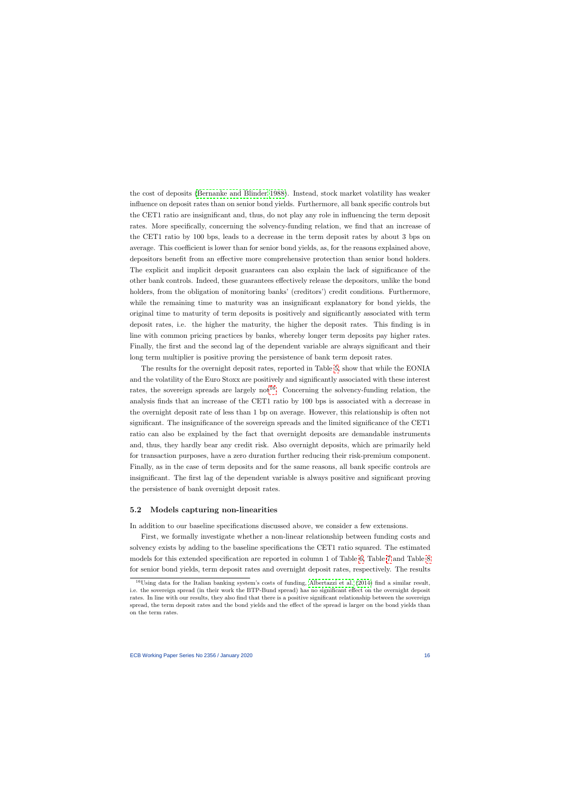the cost of deposits [\(Bernanke and Blinder 1988\)](#page-22-15). Instead, stock market volatility has weaker influence on deposit rates than on senior bond yields. Furthermore, all bank specific controls but the CET1 ratio are insignificant and, thus, do not play any role in influencing the term deposit rates. More specifically, concerning the solvency-funding relation, we find that an increase of the CET1 ratio by 100 bps, leads to a decrease in the term deposit rates by about 3 bps on average. This coefficient is lower than for senior bond yields, as, for the reasons explained above, depositors benefit from an effective more comprehensive protection than senior bond holders. The explicit and implicit deposit guarantees can also explain the lack of significance of the other bank controls. Indeed, these guarantees effectively release the depositors, unlike the bond holders, from the obligation of monitoring banks' (creditors') credit conditions. Furthermore, while the remaining time to maturity was an insignificant explanatory for bond yields, the original time to maturity of term deposits is positively and significantly associated with term deposit rates, i.e. the higher the maturity, the higher the deposit rates. This finding is in line with common pricing practices by banks, whereby longer term deposits pay higher rates. Finally, the first and the second lag of the dependent variable are always significant and their long term multiplier is positive proving the persistence of bank term deposit rates.

The results for the overnight deposit rates, reported in Table [5,](#page-28-0) show that while the EONIA and the volatility of the Euro Stoxx are positively and significantly associated with these interest rates, the sovereign spreads are largely not<sup>[16](#page-16-0)</sup>. Concerning the solvency-funding relation, the analysis finds that an increase of the CET1 ratio by 100 bps is associated with a decrease in the overnight deposit rate of less than 1 bp on average. However, this relationship is often not significant. The insignificance of the sovereign spreads and the limited significance of the CET1 ratio can also be explained by the fact that overnight deposits are demandable instruments and, thus, they hardly bear any credit risk. Also overnight deposits, which are primarily held for transaction purposes, have a zero duration further reducing their risk-premium component. Finally, as in the case of term deposits and for the same reasons, all bank specific controls are insignificant. The first lag of the dependent variable is always positive and significant proving the persistence of bank overnight deposit rates.

## 5.2 Models capturing non-linearities

In addition to our baseline specifications discussed above, we consider a few extensions.

First, we formally investigate whether a non-linear relationship between funding costs and solvency exists by adding to the baseline specifications the CET1 ratio squared. The estimated models for this extended specification are reported in column 1 of Table [6,](#page-29-0) Table [7](#page-30-0) and Table [8](#page-31-0) for senior bond yields, term deposit rates and overnight deposit rates, respectively. The results

<span id="page-16-0"></span> $16$ Using data for the Italian banking system's costs of funding, [Albertazzi et al.](#page-22-11) [\(2014\)](#page-22-11) find a similar result, i.e. the sovereign spread (in their work the BTP-Bund spread) has no significant effect on the overnight deposit rates. In line with our results, they also find that there is a positive significant relationship between the sovereign spread, the term deposit rates and the bond yields and the effect of the spread is larger on the bond yields than on the term rates.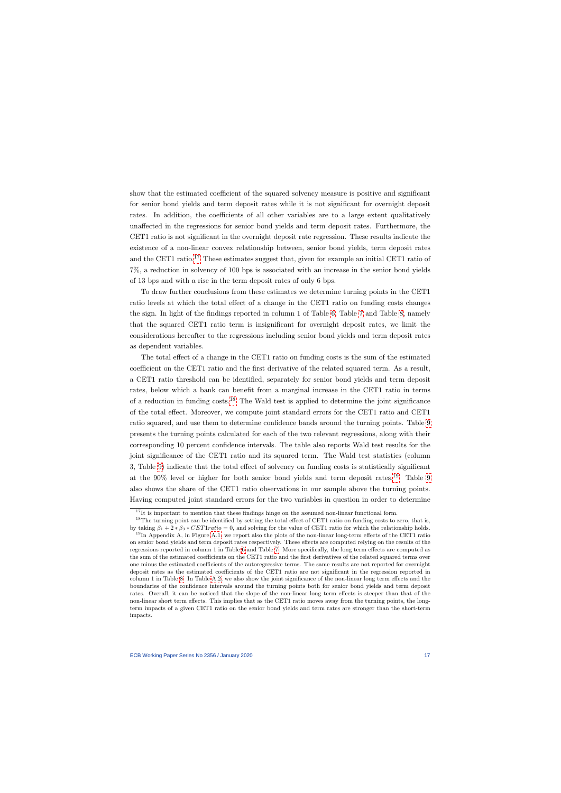show that the estimated coefficient of the squared solvency measure is positive and significant for senior bond yields and term deposit rates while it is not significant for overnight deposit rates. In addition, the coefficients of all other variables are to a large extent qualitatively unaffected in the regressions for senior bond yields and term deposit rates. Furthermore, the CET1 ratio is not significant in the overnight deposit rate regression. These results indicate the existence of a non-linear convex relationship between, senior bond yields, term deposit rates and the CET1 ratio.<sup>[17](#page-17-0)</sup> These estimates suggest that, given for example an initial CET1 ratio of 7%, a reduction in solvency of 100 bps is associated with an increase in the senior bond yields of 13 bps and with a rise in the term deposit rates of only 6 bps.

To draw further conclusions from these estimates we determine turning points in the CET1 ratio levels at which the total effect of a change in the CET1 ratio on funding costs changes the sign. In light of the findings reported in column 1 of Table [6,](#page-29-0) Table [7](#page-30-0) and Table [8,](#page-31-0) namely that the squared CET1 ratio term is insignificant for overnight deposit rates, we limit the considerations hereafter to the regressions including senior bond yields and term deposit rates as dependent variables.

The total effect of a change in the CET1 ratio on funding costs is the sum of the estimated coefficient on the CET1 ratio and the first derivative of the related squared term. As a result, a CET1 ratio threshold can be identified, separately for senior bond yields and term deposit rates, below which a bank can benefit from a marginal increase in the CET1 ratio in terms of a reduction in funding  $costs.<sup>18</sup>$  $costs.<sup>18</sup>$  $costs.<sup>18</sup>$  The Wald test is applied to determine the joint significance of the total effect. Moreover, we compute joint standard errors for the CET1 ratio and CET1 ratio squared, and use them to determine confidence bands around the turning points. Table [9](#page-32-0) presents the turning points calculated for each of the two relevant regressions, along with their corresponding 10 percent confidence intervals. The table also reports Wald test results for the joint significance of the CET1 ratio and its squared term. The Wald test statistics (column 3, Table [9\)](#page-32-0) indicate that the total effect of solvency on funding costs is statistically significant at the  $90\%$  level or higher for both senior bond yields and term deposit rates.<sup>[19](#page-17-2)</sup> Table [9](#page-32-0) also shows the share of the CET1 ratio observations in our sample above the turning points. Having computed joint standard errors for the two variables in question in order to determine

 $17$ It is important to mention that these findings hinge on the assumed non-linear functional form.

<sup>&</sup>lt;sup>18</sup>The turning point can be identified by setting the total effect of CET1 ratio on funding costs to zero, that is, by taking  $\beta_1 + 2 * \beta_3 * CET1 ratio = 0$ , and solving for the value of CET1 ratio for which the relationship holds.

<span id="page-17-2"></span><span id="page-17-1"></span><span id="page-17-0"></span> $19$ In Appendix A, in Figure [A.1,](#page-37-1) we report also the plots of the non-linear long-term effects of the CET1 ratio on senior bond yields and term deposit rates respectively. These effects are computed relying on the results of the regressions reported in column 1 in Table [6](#page-29-0) and Table [7.](#page-30-0) More specifically, the long term effects are computed as the sum of the estimated coefficients on the CET1 ratio and the first derivatives of the related squared terms over one minus the estimated coefficients of the autoregressive terms. The same results are not reported for overnight deposit rates as the estimated coefficients of the CET1 ratio are not significant in the regression reported in column 1 in Table [8.](#page-31-0) In Table [A.2,](#page-37-2) we also show the joint significance of the non-linear long term effects and the boundaries of the confidence intervals around the turning points both for senior bond yields and term deposit rates. Overall, it can be noticed that the slope of the non-linear long term effects is steeper than that of the non-linear short term effects. This implies that as the CET1 ratio moves away from the turning points, the longterm impacts of a given CET1 ratio on the senior bond yields and term rates are stronger than the short-term impacts.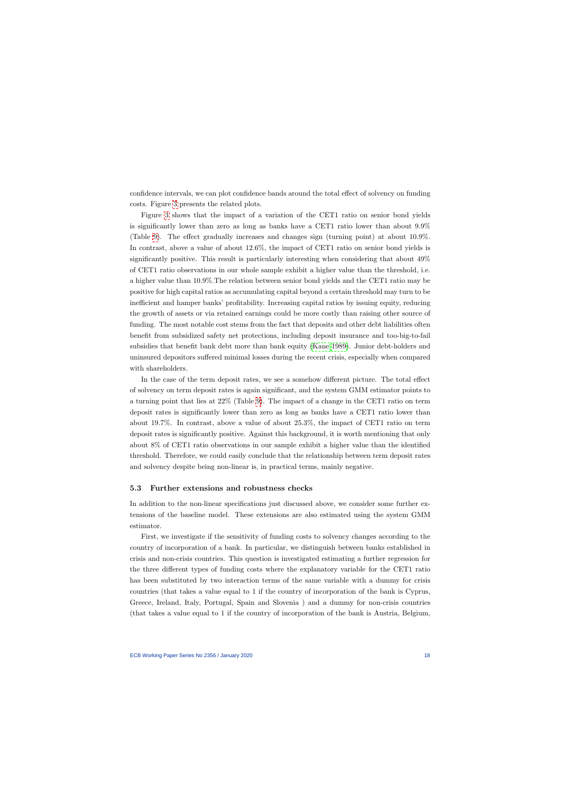confidence intervals, we can plot confidence bands around the total effect of solvency on funding costs. Figure [3](#page-32-1) presents the related plots.

Figure [3](#page-32-1) shows that the impact of a variation of the CET1 ratio on senior bond yields is significantly lower than zero as long as banks have a CET1 ratio lower than about 9.9% (Table [9\)](#page-32-0). The effect gradually increases and changes sign (turning point) at about 10.9%. In contrast, above a value of about 12.6%, the impact of CET1 ratio on senior bond yields is significantly positive. This result is particularly interesting when considering that about 49% of CET1 ratio observations in our whole sample exhibit a higher value than the threshold, i.e. a higher value than 10.9%.The relation between senior bond yields and the CET1 ratio may be positive for high capital ratios as accumulating capital beyond a certain threshold may turn to be inefficient and hamper banks' profitability. Increasing capital ratios by issuing equity, reducing the growth of assets or via retained earnings could be more costly than raising other source of funding. The most notable cost stems from the fact that deposits and other debt liabilities often benefit from subsidized safety net protections, including deposit insurance and too-big-to-fail subsidies that benefit bank debt more than bank equity [\(Kane 1989\)](#page-23-15). Junior debt-holders and uninsured depositors suffered minimal losses during the recent crisis, especially when compared with shareholders.

In the case of the term deposit rates, we see a somehow different picture. The total effect of solvency on term deposit rates is again significant, and the system GMM estimator points to a turning point that lies at 22% (Table [9\)](#page-32-0). The impact of a change in the CET1 ratio on term deposit rates is significantly lower than zero as long as banks have a CET1 ratio lower than about 19.7%. In contrast, above a value of about 25.3%, the impact of CET1 ratio on term deposit rates is significantly positive. Against this background, it is worth mentioning that only about 8% of CET1 ratio observations in our sample exhibit a higher value than the identified threshold. Therefore, we could easily conclude that the relationship between term deposit rates and solvency despite being non-linear is, in practical terms, mainly negative.

## 5.3 Further extensions and robustness checks

In addition to the non-linear specifications just discussed above, we consider some further extensions of the baseline model. These extensions are also estimated using the system GMM estimator.

First, we investigate if the sensitivity of funding costs to solvency changes according to the country of incorporation of a bank. In particular, we distinguish between banks established in crisis and non-crisis countries. This question is investigated estimating a further regression for the three different types of funding costs where the explanatory variable for the CET1 ratio has been substituted by two interaction terms of the same variable with a dummy for crisis countries (that takes a value equal to 1 if the country of incorporation of the bank is Cyprus, Greece, Ireland, Italy, Portugal, Spain and Slovenia ) and a dummy for non-crisis countries (that takes a value equal to 1 if the country of incorporation of the bank is Austria, Belgium,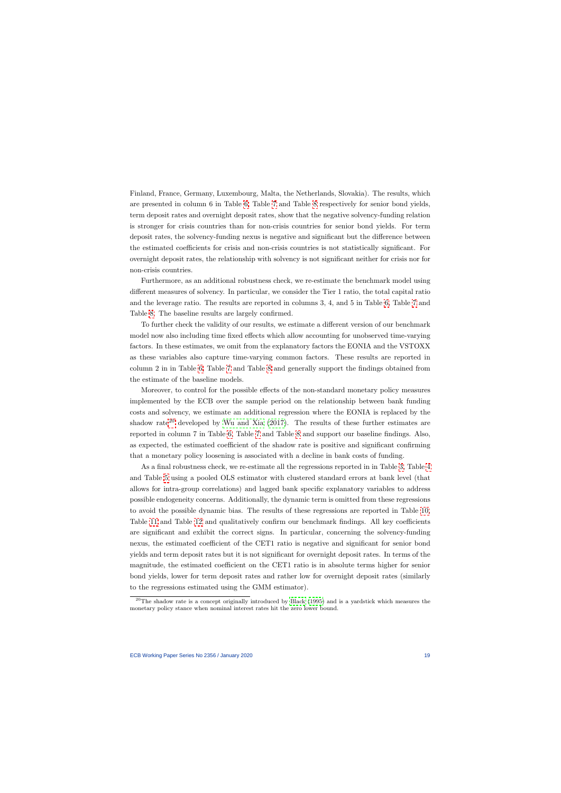Finland, France, Germany, Luxembourg, Malta, the Netherlands, Slovakia). The results, which are presented in column 6 in Table [6,](#page-29-0) Table [7](#page-30-0) and Table [8](#page-31-0) respectively for senior bond yields, term deposit rates and overnight deposit rates, show that the negative solvency-funding relation is stronger for crisis countries than for non-crisis countries for senior bond yields. For term deposit rates, the solvency-funding nexus is negative and significant but the difference between the estimated coefficients for crisis and non-crisis countries is not statistically significant. For overnight deposit rates, the relationship with solvency is not significant neither for crisis nor for non-crisis countries.

Furthermore, as an additional robustness check, we re-estimate the benchmark model using different measures of solvency. In particular, we consider the Tier 1 ratio, the total capital ratio and the leverage ratio. The results are reported in columns 3, 4, and 5 in Table [6,](#page-29-0) Table [7](#page-30-0) and Table [8.](#page-31-0) The baseline results are largely confirmed.

To further check the validity of our results, we estimate a different version of our benchmark model now also including time fixed effects which allow accounting for unobserved time-varying factors. In these estimates, we omit from the explanatory factors the EONIA and the VSTOXX as these variables also capture time-varying common factors. These results are reported in column 2 in in Table [6,](#page-29-0) Table [7](#page-30-0) and Table [8](#page-31-0) and generally support the findings obtained from the estimate of the baseline models.

Moreover, to control for the possible effects of the non-standard monetary policy measures implemented by the ECB over the sample period on the relationship between bank funding costs and solvency, we estimate an additional regression where the EONIA is replaced by the shadow rate<sup>[20](#page-19-0)</sup> developed by [Wu and Xia](#page-23-16)  $(2017)$ . The results of these further estimates are reported in column 7 in Table [6,](#page-29-0) Table [7](#page-30-0) and Table [8](#page-31-0) and support our baseline findings. Also, as expected, the estimated coefficient of the shadow rate is positive and significant confirming that a monetary policy loosening is associated with a decline in bank costs of funding.

As a final robustness check, we re-estimate all the regressions reported in in Table [3,](#page-26-0) Table [4](#page-27-0) and Table [5](#page-28-0) using a pooled OLS estimator with clustered standard errors at bank level (that allows for intra-group correlations) and lagged bank specific explanatory variables to address possible endogeneity concerns. Additionally, the dynamic term is omitted from these regressions to avoid the possible dynamic bias. The results of these regressions are reported in Table [10,](#page-33-0) Table [11](#page-34-0) and Table [12](#page-35-0) and qualitatively confirm our benchmark findings. All key coefficients are significant and exhibit the correct signs. In particular, concerning the solvency-funding nexus, the estimated coefficient of the CET1 ratio is negative and significant for senior bond yields and term deposit rates but it is not significant for overnight deposit rates. In terms of the magnitude, the estimated coefficient on the CET1 ratio is in absolute terms higher for senior bond yields, lower for term deposit rates and rather low for overnight deposit rates (similarly to the regressions estimated using the GMM estimator).

<span id="page-19-0"></span> $20$ The shadow rate is a concept originally introduced by [Black](#page-22-16) [\(1995\)](#page-22-16) and is a yardstick which measures the monetary policy stance when nominal interest rates hit the zero lower bound.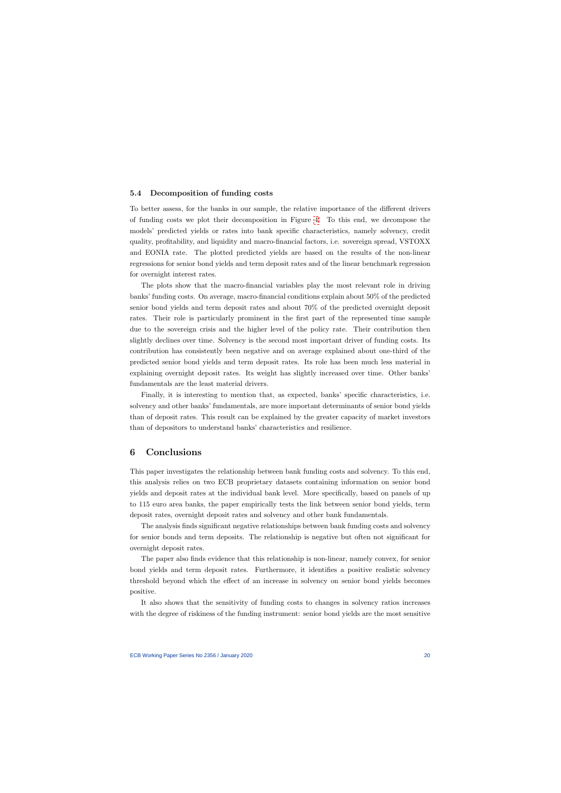## 5.4 Decomposition of funding costs

To better assess, for the banks in our sample, the relative importance of the different drivers of funding costs we plot their decomposition in Figure [4.](#page-36-0) To this end, we decompose the models' predicted yields or rates into bank specific characteristics, namely solvency, credit quality, profitability, and liquidity and macro-financial factors, i.e. sovereign spread, VSTOXX and EONIA rate. The plotted predicted yields are based on the results of the non-linear regressions for senior bond yields and term deposit rates and of the linear benchmark regression for overnight interest rates.

The plots show that the macro-financial variables play the most relevant role in driving banks' funding costs. On average, macro-financial conditions explain about 50% of the predicted senior bond yields and term deposit rates and about 70% of the predicted overnight deposit rates. Their role is particularly prominent in the first part of the represented time sample due to the sovereign crisis and the higher level of the policy rate. Their contribution then slightly declines over time. Solvency is the second most important driver of funding costs. Its contribution has consistently been negative and on average explained about one-third of the predicted senior bond yields and term deposit rates. Its role has been much less material in explaining overnight deposit rates. Its weight has slightly increased over time. Other banks' fundamentals are the least material drivers.

Finally, it is interesting to mention that, as expected, banks' specific characteristics, i.e. solvency and other banks' fundamentals, are more important determinants of senior bond yields than of deposit rates. This result can be explained by the greater capacity of market investors than of depositors to understand banks' characteristics and resilience.

## 6 Conclusions

This paper investigates the relationship between bank funding costs and solvency. To this end, this analysis relies on two ECB proprietary datasets containing information on senior bond yields and deposit rates at the individual bank level. More specifically, based on panels of up to 115 euro area banks, the paper empirically tests the link between senior bond yields, term deposit rates, overnight deposit rates and solvency and other bank fundamentals.

The analysis finds significant negative relationships between bank funding costs and solvency for senior bonds and term deposits. The relationship is negative but often not significant for overnight deposit rates.

<span id="page-20-0"></span>The paper also finds evidence that this relationship is non-linear, namely convex, for senior bond yields and term deposit rates. Furthermore, it identifies a positive realistic solvency threshold beyond which the effect of an increase in solvency on senior bond yields becomes positive.

It also shows that the sensitivity of funding costs to changes in solvency ratios increases with the degree of riskiness of the funding instrument: senior bond yields are the most sensitive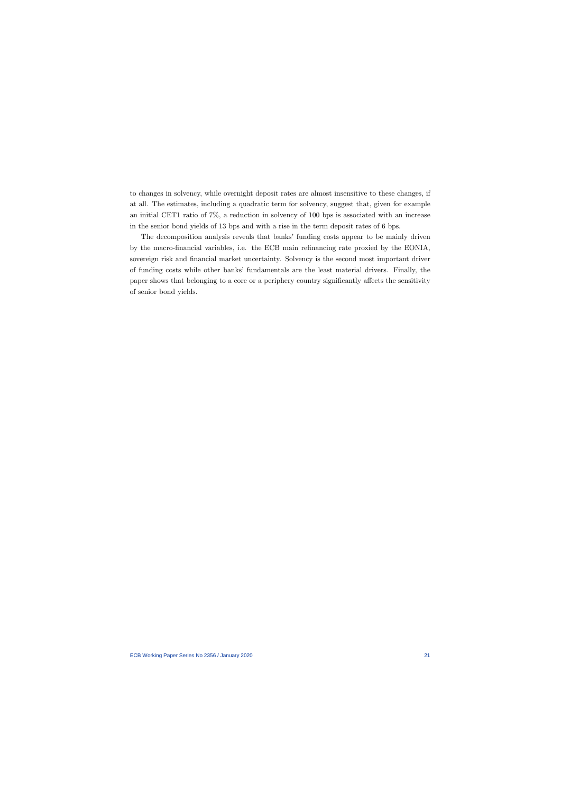to changes in solvency, while overnight deposit rates are almost insensitive to these changes, if at all. The estimates, including a quadratic term for solvency, suggest that, given for example an initial CET1 ratio of 7%, a reduction in solvency of 100 bps is associated with an increase in the senior bond yields of 13 bps and with a rise in the term deposit rates of 6 bps.

The decomposition analysis reveals that banks' funding costs appear to be mainly driven by the macro-financial variables, i.e. the ECB main refinancing rate proxied by the EONIA, sovereign risk and financial market uncertainty. Solvency is the second most important driver of funding costs while other banks' fundamentals are the least material drivers. Finally, the paper shows that belonging to a core or a periphery country significantly affects the sensitivity of senior bond yields.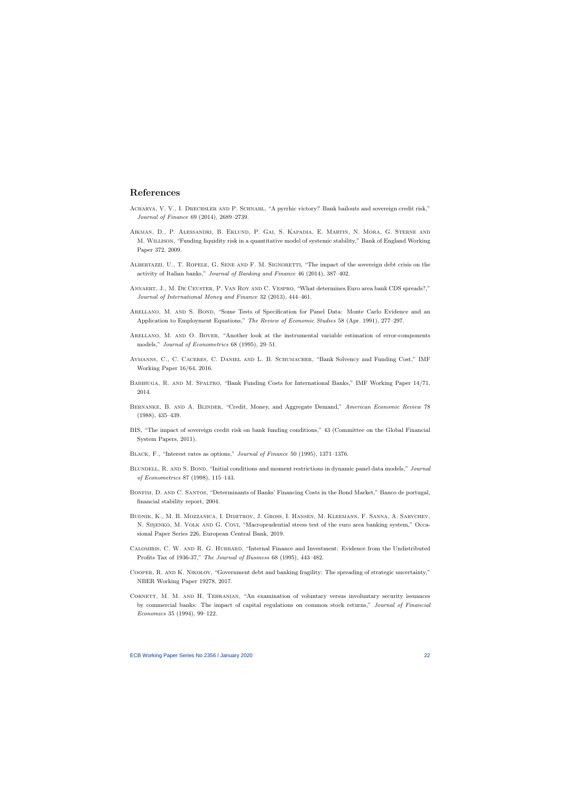## References

- ACHARYA, V. V., I. DRECHSLER AND P. SCHNABL, "A pyrrhic victory? Bank bailouts and sovereign credit risk," Journal of Finance 69 (2014), 2689–2739.
- Aikman, D., P. Alessandri, B. Eklund, P. Gai, S. Kapadia, E. Martin, N. Mora, G. Sterne and M. Willison, "Funding liquidity risk in a quantitative model of systemic stability," Bank of England Working Paper 372, 2009.
- ALBERTAZZI, U., T. ROPELE, G. SENE AND F. M. SIGNORETTI, "The impact of the sovereign debt crisis on the activity of Italian banks," Journal of Banking and Finance 46 (2014), 387–402.
- Annaert, J., M. De Ceuster, P. Van Roy and C. Vespro, "What determines Euro area bank CDS spreads?," Journal of International Money and Finance 32 (2013), 444–461.
- <span id="page-22-13"></span>ARELLANO, M. AND S. BOND, "Some Tests of Specification for Panel Data: Monte Carlo Evidence and an Application to Employment Equations," The Review of Economic Studies 58 (Apr. 1991), 277–297.
- <span id="page-22-10"></span>ARELLANO, M. AND O. BOVER, "Another look at the instrumental variable estimation of error-components models," Journal of Econometrics 68 (1995), 29–51.
- Aymanns, C., C. Caceres, C. Daniel and L. B. Schumacher, "Bank Solvency and Funding Cost," IMF Working Paper 16/64, 2016.
- <span id="page-22-11"></span>Babihuga, R. and M. Spaltro, "Bank Funding Costs for International Banks," IMF Working Paper 14/71, 2014.
- <span id="page-22-3"></span>Bernanke, B. and A. Blinder, "Credit, Money, and Aggregate Demand," American Economic Review 78 (1988), 435–439.
- <span id="page-22-7"></span>BIS, "The impact of sovereign credit risk on bank funding conditions," 43 (Committee on the Global Financial System Papers, 2011).
- <span id="page-22-8"></span>Black, F., "Interest rates as options," Journal of Finance 50 (1995), 1371–1376.
- <span id="page-22-6"></span>BLUNDELL, R. AND S. BOND, "Initial conditions and moment restrictions in dynamic panel data models," Journal of Econometrics 87 (1998), 115–143.
- <span id="page-22-4"></span>Bonfim, D. and C. Santos, "Determinants of Banks' Financing Costs in the Bond Market," Banco de portugal, financial stability report, 2004.
- <span id="page-22-15"></span>Budnik, K., M. B. Mozzanica, I. Dimitrov, J. Groß, I. Hansen, M. Kleemann, F. Sanna, A. Sarychev, N. SINENKO, M. VOLK AND G. COVI, "Macroprudential stress test of the euro area banking system," Occasional Paper Series 226, European Central Bank, 2019.
- <span id="page-22-12"></span>Calomiris, C. W. and R. G. Hubbard, "Internal Finance and Investment: Evidence from the Undistributed Profits Tax of 1936-37," The Journal of Business 68 (1995), 443–482.
- <span id="page-22-16"></span><span id="page-22-9"></span>Cooper, R. and K. Nikolov, "Government debt and banking fragility: The spreading of strategic uncertainty," NBER Working Paper 19278, 2017.
- <span id="page-22-14"></span><span id="page-22-5"></span><span id="page-22-2"></span><span id="page-22-1"></span><span id="page-22-0"></span>CORNETT, M. M. AND H. TEHRANIAN, "An examination of voluntary versus involuntary security issuances by commercial banks: The impact of capital regulations on common stock returns," Journal of Financial Economics 35 (1994), 99–122.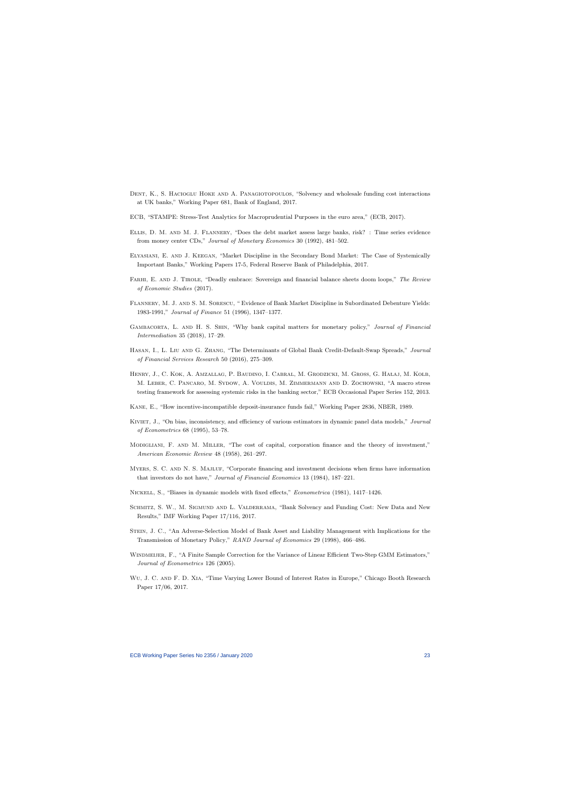- DENT, K., S. HACIOGLU HOKE AND A. PANAGIOTOPOULOS, "Solvency and wholesale funding cost interactions at UK banks," Working Paper 681, Bank of England, 2017.
- ECB, "STAMPE: Stress-Test Analytics for Macroprudential Purposes in the euro area," (ECB, 2017).
- Ellis, D. M. and M. J. Flannery, "Does the debt market assess large banks, risk? : Time series evidence from money center CDs," Journal of Monetary Economics 30 (1992), 481–502.
- Elyasiani, E. and J. Keegan, "Market Discipline in the Secondary Bond Market: The Case of Systemically Important Banks," Working Papers 17-5, Federal Reserve Bank of Philadelphia, 2017.
- FARHI, E. AND J. TIROLE, "Deadly embrace: Sovereign and financial balance sheets doom loops," The Review of Economic Studies (2017).
- <span id="page-23-9"></span>Flannery, M. J. and S. M. Sorescu, " Evidence of Bank Market Discipline in Subordinated Debenture Yields: 1983-1991," Journal of Finance 51 (1996), 1347–1377.
- <span id="page-23-0"></span>Gambacorta, L. and H. S. Shin, "Why bank capital matters for monetary policy," Journal of Financial Intermediation 35 (2018), 17–29.
- <span id="page-23-5"></span>HASAN, I., L. LIU AND G. ZHANG, "The Determinants of Global Bank Credit-Default-Swap Spreads," Journal of Financial Services Research 50 (2016), 275–309.
- <span id="page-23-11"></span>HENRY, J., C. KOK, A. AMZALLAG, P. BAUDINO, I. CABRAL, M. GRODZICKI, M. GROSS, G. HAŁAJ, M. KOLB, M. Leber, C. Pancaro, M. Sydow, A. Vouldis, M. Zimmermann and D. Zochowski, "A macro stress testing framework for assessing systemic risks in the banking sector," ECB Occasional Paper Series 152, 2013.
- <span id="page-23-12"></span>Kane, E., "How incentive-incompatible deposit-insurance funds fail," Working Paper 2836, NBER, 1989.
- <span id="page-23-6"></span>KIVIET, J., "On bias, inconsistency, and efficiency of various estimators in dynamic panel data models," Journal of Econometrics 68 (1995), 53–78.
- <span id="page-23-10"></span>Modigliani, F. and M. Miller, "The cost of capital, corporation finance and the theory of investment," American Economic Review 48 (1958), 261–297.
- <span id="page-23-7"></span>MYERS, S. C. AND N. S. MAJLUF, "Corporate financing and investment decisions when firms have information that investors do not have," Journal of Financial Economics 13 (1984), 187–221.
- <span id="page-23-1"></span>Nickell, S., "Biases in dynamic models with fixed effects," Econometrica (1981), 1417–1426.
- <span id="page-23-15"></span>SCHMITZ, S. W., M. SIGMUND AND L. VALDERRAMA, "Bank Solvency and Funding Cost: New Data and New Results," IMF Working Paper 17/116, 2017.
- <span id="page-23-13"></span>Stein, J. C., "An Adverse-Selection Model of Bank Asset and Liability Management with Implications for the Transmission of Monetary Policy," RAND Journal of Economics 29 (1998), 466–486.
- <span id="page-23-2"></span>Windmeijer, F., "A Finite Sample Correction for the Variance of Linear Efficient Two-Step GMM Estimators," Journal of Econometrics 126 (2005).
- <span id="page-23-17"></span><span id="page-23-16"></span><span id="page-23-14"></span><span id="page-23-8"></span><span id="page-23-4"></span><span id="page-23-3"></span>Wu, J. C. and F. D. Xia, "Time Varying Lower Bound of Interest Rates in Europe," Chicago Booth Research Paper 17/06, 2017.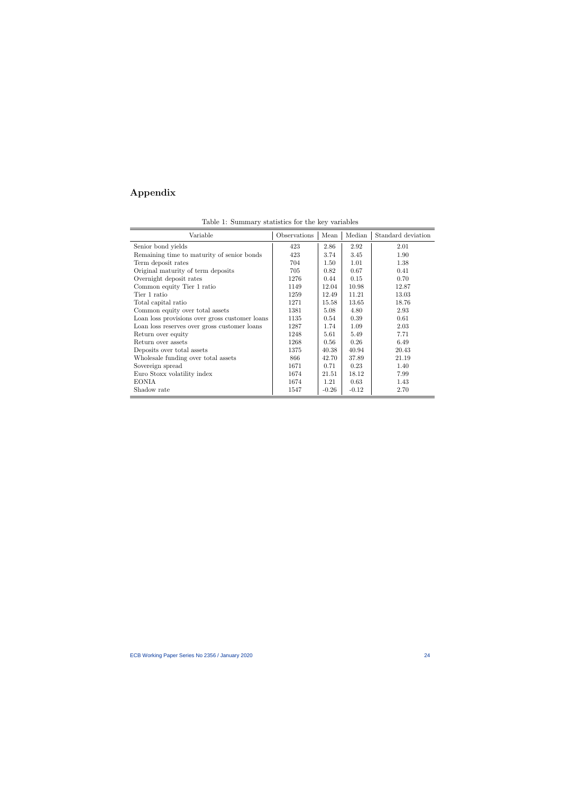# Appendix

<span id="page-24-0"></span>

| Variable                                       | Observations | Mean    | Median  | Standard deviation |
|------------------------------------------------|--------------|---------|---------|--------------------|
| Senior bond yields                             | 423          | 2.86    | 2.92    | 2.01               |
| Remaining time to maturity of senior bonds     | 423          | 3.74    | 3.45    | 1.90               |
| Term deposit rates                             | 704          | 1.50    | 1.01    | 1.38               |
| Original maturity of term deposits             | 705          | 0.82    | 0.67    | 0.41               |
| Overnight deposit rates                        | 1276         | 0.44    | 0.15    | 0.70               |
| Common equity Tier 1 ratio                     | 1149         | 12.04   | 10.98   | 12.87              |
| Tier 1 ratio                                   | 1259         | 12.49   | 11.21   | 13.03              |
| Total capital ratio                            | 1271         | 15.58   | 13.65   | 18.76              |
| Common equity over total assets                | 1381         | 5.08    | 4.80    | 2.93               |
| Loan loss provisions over gross customer loans | 1135         | 0.54    | 0.39    | 0.61               |
| Loan loss reserves over gross customer loans   | 1287         | 1.74    | 1.09    | 2.03               |
| Return over equity                             | 1248         | 5.61    | 5.49    | 7.71               |
| Return over assets                             | 1268         | 0.56    | 0.26    | 6.49               |
| Deposits over total assets                     | 1375         | 40.38   | 40.94   | 20.43              |
| Wholesale funding over total assets            | 866          | 42.70   | 37.89   | 21.19              |
| Sovereign spread                               | 1671         | 0.71    | 0.23    | 1.40               |
| Euro Stoxx volatility index                    | 1674         | 21.51   | 18.12   | 7.99               |
| <b>EONIA</b>                                   | 1674         | 1.21    | 0.63    | 1.43               |
| Shadow rate                                    | 1547         | $-0.26$ | $-0.12$ | 2.70               |

|  | Table 1: Summary statistics for the key variables |  |  |  |  |  |
|--|---------------------------------------------------|--|--|--|--|--|
|--|---------------------------------------------------|--|--|--|--|--|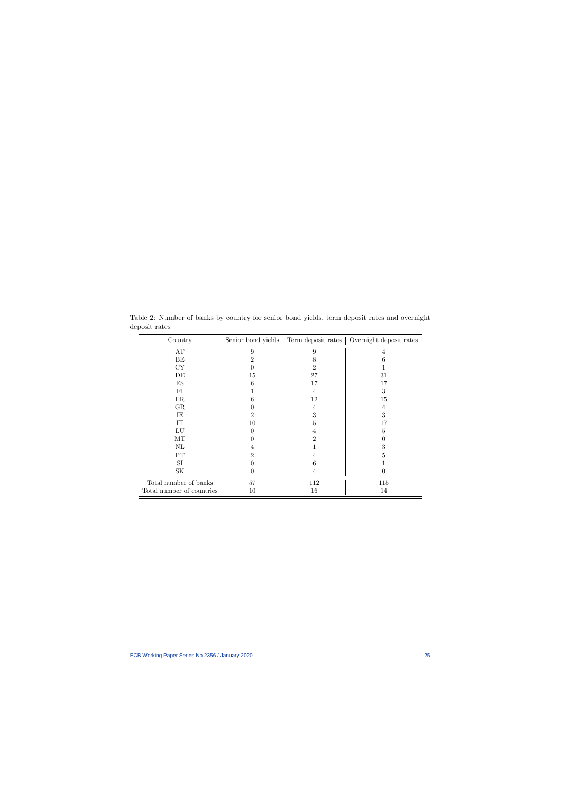<span id="page-25-0"></span>

| Country                   | Senior bond yields | Term deposit rates | Overnight deposit rates |
|---------------------------|--------------------|--------------------|-------------------------|
| AT                        | 9                  | 9                  | 4                       |
| BE                        | 2                  | 8                  | 6                       |
| CY                        |                    | 2                  |                         |
| DE                        | 15                 | 27                 | 31                      |
| $\mathop{\hbox{\rm ES}}$  | 6                  | 17                 | 17                      |
| FI                        |                    | 4                  | 3                       |
| ${\rm FR}$                | 6                  | 12                 | 15                      |
| GR                        |                    | 4                  | 4                       |
| IE                        | $\overline{2}$     | 3                  | 3                       |
| IT                        | 10                 | 5                  | 17                      |
| LU                        | 0                  | 4                  | 5                       |
| MT                        |                    | 2                  |                         |
| $\rm NL$                  | 4                  |                    | 3                       |
| PT                        | 2                  | 4                  | 5                       |
| SI                        |                    | 6                  |                         |
| $\rm SK$                  | $\left( \right)$   | 4                  | 0                       |
| Total number of banks     | $57\,$             | 112                | 115                     |
| Total number of countries | 10                 | 16                 | 14                      |

Table 2: Number of banks by country for senior bond yields, term deposit rates and overnight deposit rates  $=$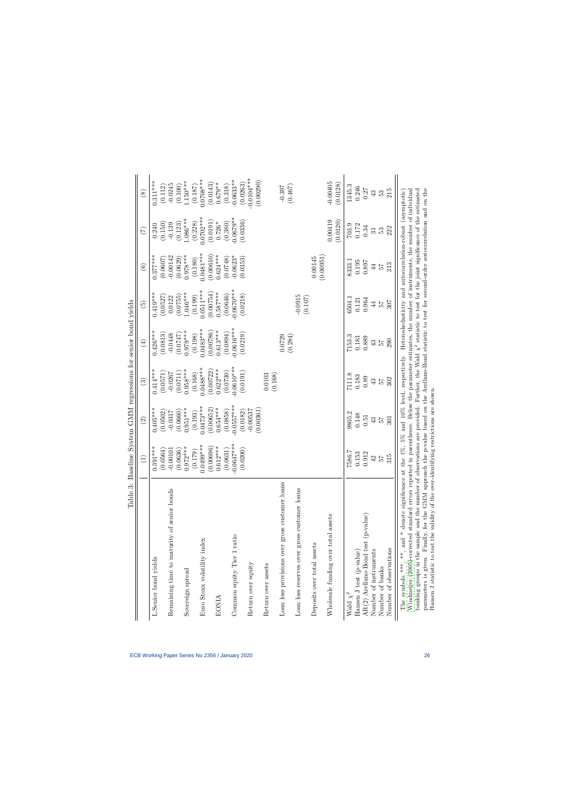<span id="page-26-0"></span>

| Table 3:                                                                                                                                                                                                                                                                                                                                                                                                                                                                                                                                                                                                                                                                                                                                    | Baseline System GMM regressions for senior bond yields |                          |                          |                         |                        |                        |                       |                           |
|---------------------------------------------------------------------------------------------------------------------------------------------------------------------------------------------------------------------------------------------------------------------------------------------------------------------------------------------------------------------------------------------------------------------------------------------------------------------------------------------------------------------------------------------------------------------------------------------------------------------------------------------------------------------------------------------------------------------------------------------|--------------------------------------------------------|--------------------------|--------------------------|-------------------------|------------------------|------------------------|-----------------------|---------------------------|
|                                                                                                                                                                                                                                                                                                                                                                                                                                                                                                                                                                                                                                                                                                                                             | $\widehat{\Xi}$                                        | $\widehat{\infty}$       | $\widehat{\mathbb{G}}$   | $\bigoplus$             | $\widetilde{\Xi}$      | $\widehat{\odot}$      | $\widehat{\Xi}$       | $\circled{s}$             |
| L.Senior bond yields                                                                                                                                                                                                                                                                                                                                                                                                                                                                                                                                                                                                                                                                                                                        | $0.391***$                                             | $0.405***$               | $0.414***$               | $0.426***$              | $0.419***$             | $0.377***$             | 0.240                 | $0.311***$                |
|                                                                                                                                                                                                                                                                                                                                                                                                                                                                                                                                                                                                                                                                                                                                             | (0.0564)                                               | (0.0502)                 | (0.0571)                 | (0.0813)                | (0.0527)               | (0.0607)               | (0.150)               | (0.112)                   |
| Remaining time to maturity of senior bonds                                                                                                                                                                                                                                                                                                                                                                                                                                                                                                                                                                                                                                                                                                  | $-0.00101$                                             | $-0.0317$                | $-0.0267$                | $-0.0448$               | 0.0122                 | $-0.00142$             | $-0.139$              | $-0.0245$                 |
| Sovereign spread                                                                                                                                                                                                                                                                                                                                                                                                                                                                                                                                                                                                                                                                                                                            | $0.972***$<br>(0.0636)                                 | $0.951***$<br>(0.0660)   | $0.958***$<br>(0.0711)   | $0.979***$<br>(0.0747)  | $1.046***$<br>(0.0755) | $0.978***$<br>(0.0629) | $1.086***$<br>(0.123) | $1.150***$<br>(0.100)     |
|                                                                                                                                                                                                                                                                                                                                                                                                                                                                                                                                                                                                                                                                                                                                             | (0.179)                                                | (0.193)                  | (0.168)                  | (0.198)                 | (0.199)                | (0.180)                | (0.228)               | (0.187)                   |
| Euro Stoxx volatility index                                                                                                                                                                                                                                                                                                                                                                                                                                                                                                                                                                                                                                                                                                                 | $0.0499***$                                            | $0.0473***$              | $0.0488***$              | $0.0483***$             | $0.0511***$            | $0.0481***$            | $0.0702***$           | $0.0708***$               |
|                                                                                                                                                                                                                                                                                                                                                                                                                                                                                                                                                                                                                                                                                                                                             | (0.00696)                                              | (0.00652)                | (0.00722)                | (0.00786)               | (0.00754)              | (0.00610)              | (0.0191)              | (0.0143)                  |
| <b>EONIA</b>                                                                                                                                                                                                                                                                                                                                                                                                                                                                                                                                                                                                                                                                                                                                | $0.612***$                                             | $0.654***$               | $0.622***$               | $0.613***$              | $0.587***$<br>(0.0646) | $0.624***$<br>(0.0748) | $0.726*$<br>(0.380)   | $0.679**$                 |
| Common equity Tier 1 ratio                                                                                                                                                                                                                                                                                                                                                                                                                                                                                                                                                                                                                                                                                                                  | $0.0647***$<br>(0.0631)<br>L                           | $-0.0557***$<br>(0.0858) | $-0.0610***$<br>(0.0730) | $0.0616***$<br>(6.0894) | $-0.0670***$           | $-0.0623*$             | $0.0679**$            | $-0.0633**$<br>(0.318)    |
|                                                                                                                                                                                                                                                                                                                                                                                                                                                                                                                                                                                                                                                                                                                                             | (0.0200)                                               | (0.0182)                 | (0.0191)                 | (0.0219)                | (0.0218)               | (0.0353)               | (0.0336)              | (0.0263)                  |
| Return over equity                                                                                                                                                                                                                                                                                                                                                                                                                                                                                                                                                                                                                                                                                                                          |                                                        | (0.00361)<br>$-0.00537$  |                          |                         |                        |                        |                       | $-0.0104***$<br>(0.00290) |
| Return over assets                                                                                                                                                                                                                                                                                                                                                                                                                                                                                                                                                                                                                                                                                                                          |                                                        |                          | 0.0103<br>(0.168)        |                         |                        |                        |                       |                           |
| Loan loss provisions over gross customer loans                                                                                                                                                                                                                                                                                                                                                                                                                                                                                                                                                                                                                                                                                              |                                                        |                          |                          | 0.0729<br>(0.284)       |                        |                        |                       | (0.467)                   |
| Loan loss reserves over gross customer loans                                                                                                                                                                                                                                                                                                                                                                                                                                                                                                                                                                                                                                                                                                |                                                        |                          |                          |                         | $-0.0915$<br>(0.107)   |                        |                       |                           |
| Deposits over total assets                                                                                                                                                                                                                                                                                                                                                                                                                                                                                                                                                                                                                                                                                                                  |                                                        |                          |                          |                         |                        | (0.00951)<br>0.00145   |                       |                           |
| Wholesale funding over total assets                                                                                                                                                                                                                                                                                                                                                                                                                                                                                                                                                                                                                                                                                                         |                                                        |                          |                          |                         |                        |                        | 0.00419               | $-0.00405$                |
|                                                                                                                                                                                                                                                                                                                                                                                                                                                                                                                                                                                                                                                                                                                                             |                                                        |                          |                          |                         |                        |                        | (0.0120)              | (0.0128)                  |
| Wald $\chi^2$                                                                                                                                                                                                                                                                                                                                                                                                                                                                                                                                                                                                                                                                                                                               | 7586.7                                                 | 9805.2                   | 7111.8                   | 7153.3                  | 6504.1                 | 8333.1                 | 703.9                 | 1345.3                    |
| Hansen J test (p-value)                                                                                                                                                                                                                                                                                                                                                                                                                                                                                                                                                                                                                                                                                                                     | 0.153                                                  | 0.148                    | 0.183                    | 0.183                   | 0.121                  | 0.195                  | 0.172                 | 0.246                     |
| AR(2) Arellano-Bond test (p-value)                                                                                                                                                                                                                                                                                                                                                                                                                                                                                                                                                                                                                                                                                                          | 0.912                                                  | 0.51                     | 0.89                     | 0.889                   | 0.964                  | 0.897                  | 0.34                  | 0.27                      |
| Number of instruments                                                                                                                                                                                                                                                                                                                                                                                                                                                                                                                                                                                                                                                                                                                       | $42$                                                   | 43                       | 43                       | 43                      | $\overline{4}$         | $\overline{4}$         | $\overline{31}$       | 43                        |
| Number of banks                                                                                                                                                                                                                                                                                                                                                                                                                                                                                                                                                                                                                                                                                                                             | 57                                                     | 25                       | 24                       | 25                      | 25                     | 25                     | 53                    | 53                        |
| Number of observations                                                                                                                                                                                                                                                                                                                                                                                                                                                                                                                                                                                                                                                                                                                      | 315                                                    | 301                      | 302                      | 290                     | 307                    | 313                    | 222                   | 215                       |
| parameters is given. Finally, for the GMM approach the p-value based on the Arellano-Bond statistic to test for second-order autocorrelation and on the<br>banking groups in the sample and the number of observations are provided. Further, the Wald $\chi^2$ statistic to test for the joint significance of the estimated<br>Windmeijer (2005)-corrected standard errors reported in parentheses. Below the parameter estimates, the number of instruments, the number of individual<br>The symbols ***, **, and * denote significance at the 1%, 5% and 10% level, respectively. Heteroskedasticity and autocorrelation-robust (asymptotic)<br>Hansen J statistic to test the validity of the over-identifying restrictions are shown. |                                                        |                          |                          |                         |                        |                        |                       |                           |
|                                                                                                                                                                                                                                                                                                                                                                                                                                                                                                                                                                                                                                                                                                                                             |                                                        |                          |                          |                         |                        |                        |                       |                           |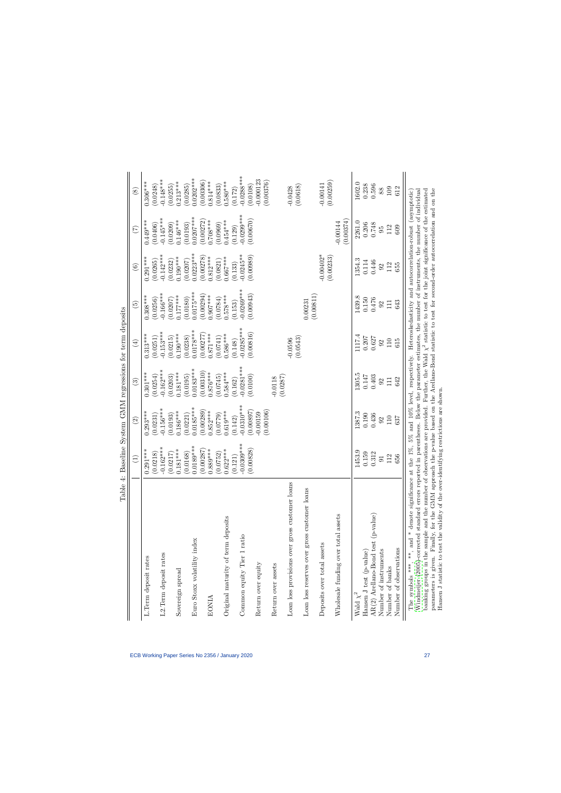<span id="page-27-0"></span>

| Table 4:                                                                                                                                                                                                                                                                                                                                                                           |                                        |                         | Baseline System GMM regressions for term deposits |                        |                                                            |                          |                         |                            |
|------------------------------------------------------------------------------------------------------------------------------------------------------------------------------------------------------------------------------------------------------------------------------------------------------------------------------------------------------------------------------------|----------------------------------------|-------------------------|---------------------------------------------------|------------------------|------------------------------------------------------------|--------------------------|-------------------------|----------------------------|
|                                                                                                                                                                                                                                                                                                                                                                                    | $\begin{array}{c} \square \end{array}$ | $\widehat{\Omega}$      | $\widehat{\mathbb{G}}$                            | $\bigoplus$            | $\widetilde{\mathbf{e}}$                                   | $\widehat{\mathfrak{S}}$ | $(\zeta)$               | $\overset{\infty}{\infty}$ |
| L. Term deposit rates                                                                                                                                                                                                                                                                                                                                                              | $0.291***$<br>ö                        | $0.293***$              | $0.301***$                                        | $0.313***$             | $0.308***$                                                 | $0.291***$               | $0.449***$              | $0.306***$                 |
|                                                                                                                                                                                                                                                                                                                                                                                    | (0.0218)                               | (0.0231)                | (0.0254)                                          | (0.0251)               | (0.0256)                                                   | (0.0265)                 | (0.0406)                | (0.0248)                   |
| L2.Term deposit rates                                                                                                                                                                                                                                                                                                                                                              | $-0.162***$                            | $-0.156***$             | $-0.162***$                                       | $-0.153***$            | $-0.166***$                                                | $-0.142***$              | $-0.145***$             | $-0.148***$                |
| Sovereign spread                                                                                                                                                                                                                                                                                                                                                                   | $(0.0217)$<br>0.181***                 | $0.186***$<br>(0.0193)  | $0.181***$<br>(0.0203)                            | $0.190***$<br>(0.0215) | $0.177***$<br>(0.0207)                                     | $0.190***$<br>(0.0232)   | $0.146***$<br>(0.0209)  | $0.213***$<br>(0.0255)     |
|                                                                                                                                                                                                                                                                                                                                                                                    | (0.0168)                               | (0.0221)                | (0.0195)                                          | (0.0238)               | (0.0180)                                                   | (0.0207)                 | (0.0193)                | (0.0285)                   |
| Euro Stoxx volatility index                                                                                                                                                                                                                                                                                                                                                        | $0.0189***$                            | $0.0185***$             | $0.0183***$                                       | $0.0178***$            | $0.0175***$                                                | $0.0223***$              | $0.0207***$             | $0.0202***$                |
|                                                                                                                                                                                                                                                                                                                                                                                    | $(0.00287)$<br>$0.889***$              | (0.00289)               | (0.00310)                                         | (0.00277)              | (0.00294)                                                  | (0.00278)                | (0.00272)               | (0.00306)                  |
| <b>EONIA</b>                                                                                                                                                                                                                                                                                                                                                                       |                                        | $0.852***$              | $0.876***$                                        | $0.871***$             | $0.907***$                                                 | $0.812***$               | $0.708***$              | $0.814***$                 |
|                                                                                                                                                                                                                                                                                                                                                                                    | (0.0752)                               | (0.0779)                | (0.0745)                                          | (0.0741)               | (0.0784)                                                   | (0.0821)                 | (0.0969)                | (0.0833)                   |
| Original maturity of term deposits                                                                                                                                                                                                                                                                                                                                                 | $0.622***$<br>(0.121)                  | $0.619***$<br>(0.142)   | $0.584***$<br>(0.162)                             | $0.586***$<br>(0.148)  | $0.578***$<br>(0.153)                                      | $0.667***$<br>(0.133)    | $0.454***$<br>(0.129)   | $0.580***$<br>(0.172)      |
| Common equity Tier 1 ratio                                                                                                                                                                                                                                                                                                                                                         | $-0.0309***$                           | $0.0310***$             | $-0.0281***$                                      | $-0.0285***$           | $-0.0269***$                                               | $-0.0245***$             | $-0.0299***$            | $-0.0288***$               |
|                                                                                                                                                                                                                                                                                                                                                                                    | (0.00828)                              | (0.00897)               | (0.0100)                                          | (0.00816)              | (0.00943)                                                  | (0.00989)                | (0.00670)               | (0.0108)                   |
| Return over equity                                                                                                                                                                                                                                                                                                                                                                 |                                        | (0.00106)<br>$-0.00159$ |                                                   |                        |                                                            |                          |                         | $-0.000123$<br>(0.00376)   |
| Return over assets                                                                                                                                                                                                                                                                                                                                                                 |                                        |                         | (0.0287)<br>$-0.0118$                             |                        |                                                            |                          |                         |                            |
| Loan loss provisions over gross customer loans                                                                                                                                                                                                                                                                                                                                     |                                        |                         |                                                   | (0.0543)<br>$-0.0596$  |                                                            |                          |                         | (0.0618)<br>$-0.0428$      |
| Loan loss reserves over gross customer loans                                                                                                                                                                                                                                                                                                                                       |                                        |                         |                                                   |                        | (0.00811)<br>0.00231                                       |                          |                         |                            |
| Deposits over total assets                                                                                                                                                                                                                                                                                                                                                         |                                        |                         |                                                   |                        |                                                            | $-0.00402*$<br>(0.00233) |                         | (0.00259)<br>$-0.00141$    |
| Wholesale funding over total assets                                                                                                                                                                                                                                                                                                                                                |                                        |                         |                                                   |                        |                                                            |                          | (0.00374)<br>$-0.00144$ |                            |
| Wald $\chi^2$                                                                                                                                                                                                                                                                                                                                                                      | 1453.9                                 | 1387.3                  | 1305.5                                            | 1117.4                 | 1439.8                                                     | 1354.3                   | 2261.0                  | 1602.0                     |
| Hansen J test (p-value)                                                                                                                                                                                                                                                                                                                                                            | 0.159                                  | 0.190                   | 0.147                                             | 0.207                  | 0.150                                                      | 0.114                    | 0.206                   | 0.238                      |
| AR(2) Arellano-Bond test (p-value)                                                                                                                                                                                                                                                                                                                                                 | 0.312                                  | 0.436                   | 0.403                                             | 0.627                  | 0.476                                                      | 0.446                    | 0.748                   | 0.596                      |
| Number of instruments                                                                                                                                                                                                                                                                                                                                                              | $\overline{5}$                         | 92                      | $\mathfrak{S}$                                    | 92                     | $\mathfrak{S}$                                             | $\mathfrak{S}$           | 95                      | $88\,$                     |
| Number of banks                                                                                                                                                                                                                                                                                                                                                                    | 112                                    | 110                     | 111                                               | 110                    | 111                                                        | 112                      | 112                     | 109                        |
| Number of observations                                                                                                                                                                                                                                                                                                                                                             | 656                                    | 637                     | 642                                               | 615                    | 643                                                        | 655                      | 609                     | 612                        |
| banking groups in the sample and the number of observations are provided. Further, the Wald $\chi^2$ statistic to test for the joint significance of the estimated<br>Windmeijer (2005)-corrected standard errors reported in parentheses. Below the parameter estimates, the number of instruments, the number of individual<br>The symbols ***, **, and * denote significance at |                                        |                         | the 1%, 5% and 10% level, respectively.           |                        | Heteroskedasticity and autocorrelation-robust (asymptotic) |                          |                         |                            |
| parameters is given. Finally, for the GMM approach the p-value based on the Arellano-Bond statistic to test for second-order autocorrelation and on the<br>Hansen J statistic to test the validity of the over-identifying restrictions are shown.                                                                                                                                 |                                        |                         |                                                   |                        |                                                            |                          |                         |                            |

| ļ<br>こうて<br>Í<br>)                                                                                  |  |
|-----------------------------------------------------------------------------------------------------|--|
| I<br>ł                                                                                              |  |
| ı                                                                                                   |  |
| Control+ self-control controls<br>֖֖֖֧ׅׅׅ֖֧ׅׅ֖֧֚֚֚֚֚֚֚֚֚֚֚֚֚֚֚֚֚֚֚֚֚֚֚֚֚֚֚֚֚֡֝֝֬֓֝֓֬֓֬֝֬֓֬֝֬֝֬<br>j |  |
| ・・・・く<br>i<br>I<br>j                                                                                |  |
| $\frac{1}{2}$<br>l<br>֕<br>ļ<br>I<br>l                                                              |  |
| .<br>.<br>.<br>֕<br>֠<br>ļ<br>I                                                                     |  |
| į                                                                                                   |  |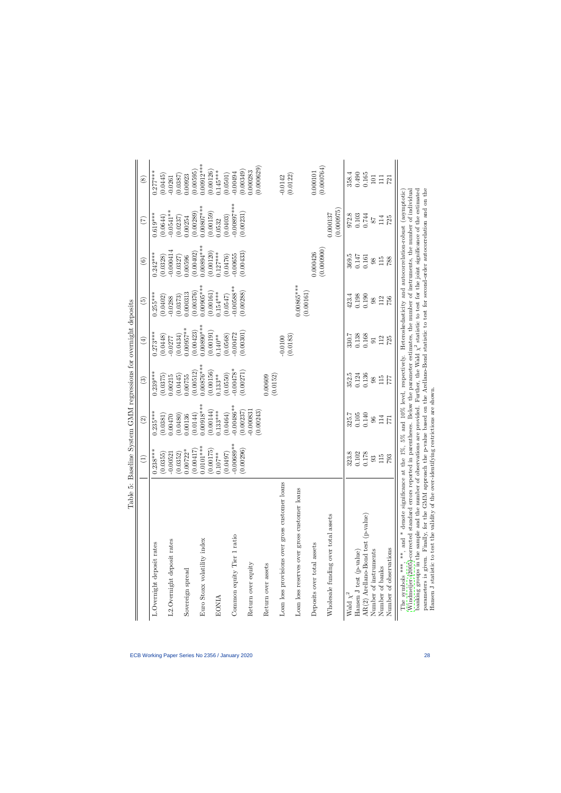<span id="page-28-0"></span>

|                                                                                                                                                                                                                                                                                                                                                                                                                                                                                                                                                   | Table 5: Baseline System GMM regressions for overnight deposits |                                     |                        |                 |                 |                          |                                                            |                            |
|---------------------------------------------------------------------------------------------------------------------------------------------------------------------------------------------------------------------------------------------------------------------------------------------------------------------------------------------------------------------------------------------------------------------------------------------------------------------------------------------------------------------------------------------------|-----------------------------------------------------------------|-------------------------------------|------------------------|-----------------|-----------------|--------------------------|------------------------------------------------------------|----------------------------|
|                                                                                                                                                                                                                                                                                                                                                                                                                                                                                                                                                   |                                                                 | $\widehat{\mathfrak{D}}$            | $\widehat{\mathbb{C}}$ | $\bigoplus$     | $\widetilde{5}$ | $\widehat{\mathfrak{S}}$ | $\widetilde{\Xi}$                                          | $\overset{\infty}{\infty}$ |
| L.Overnight deposit rates                                                                                                                                                                                                                                                                                                                                                                                                                                                                                                                         | $0.238***$                                                      | $0.235***$                          | $0.239***$             | $0.273***$      | $0.255***$      | $0.242***$               | $0.619***$                                                 | $0.277***$                 |
|                                                                                                                                                                                                                                                                                                                                                                                                                                                                                                                                                   | (0.0355)                                                        | (0.0381)                            | (0.0375)               | (0.0448)        | (0.0402)        | (0.0328)                 | (0.0644)                                                   | (0.0445)                   |
| L2.Overnight deposit rates                                                                                                                                                                                                                                                                                                                                                                                                                                                                                                                        | $-0.00521$                                                      | 0.00470                             | 0.00215                | $-0.0277$       | $-0.0288$       | $-0.000414$              | $-0.0541**$                                                | $-0.0261$                  |
|                                                                                                                                                                                                                                                                                                                                                                                                                                                                                                                                                   | (0.0352)                                                        | (0.0480)                            | (0.0445)               | (0.0434)        | (0.0373)        | (0.0327)                 | (0.0237)                                                   | (0.0387)                   |
| Sovereign spread                                                                                                                                                                                                                                                                                                                                                                                                                                                                                                                                  | $0.00722*$                                                      | 0.00136                             | 0.00755                | $0.00957***$    | 0.000313        | 0.00596                  | 0.00254                                                    | 0.00923                    |
|                                                                                                                                                                                                                                                                                                                                                                                                                                                                                                                                                   | (0.00417)                                                       | (0.0144)                            | (0.00512)              | (0.00423)       | (0.00376)       | (0.00402)                | (0.00289)                                                  | (0.00595)                  |
| Euro Stoxx volatility index                                                                                                                                                                                                                                                                                                                                                                                                                                                                                                                       | $0.0101***$                                                     | $0.00918***$                        | $0.00876***$           | $0.00890***$    | $0.00905***$    | $0.00894***$             | $0.00807***$                                               | $0.00912***$               |
|                                                                                                                                                                                                                                                                                                                                                                                                                                                                                                                                                   | (0.00175)                                                       | (0.00144)                           | (0.00156)              | (0.00191)       | (0.00161)       | (0.00120)                | (0.00159)                                                  | (0.00126)                  |
| <b>EONIA</b>                                                                                                                                                                                                                                                                                                                                                                                                                                                                                                                                      | $0.107***$                                                      | $0.133***$                          | $0.133**$              | $0.140**$       | $0.154***$      | $0.127***$               | 0.0532                                                     | $0.145***$                 |
|                                                                                                                                                                                                                                                                                                                                                                                                                                                                                                                                                   | (0.0497)                                                        | (0.0464)                            | (0.0550)               | (0.0568)        | (0.0547)        | (0.0476)                 | (0.0403)                                                   | (0.0501)                   |
| Common equity Tier 1 ratio                                                                                                                                                                                                                                                                                                                                                                                                                                                                                                                        | $-0.00689**$                                                    | $-0.00486**$                        | $-0.00478*$            | $-0.00472$      | $-0.00588**$    | $-0.00655$               | $-0.00897***$                                              | $-0.00494$                 |
|                                                                                                                                                                                                                                                                                                                                                                                                                                                                                                                                                   | (0.00296)                                                       | (0.00237)                           | (0.00271)              | (0.00301)       | (0.00288)       | (0.00433)                | (0.00231)                                                  | (0.00349)                  |
| Return over equity                                                                                                                                                                                                                                                                                                                                                                                                                                                                                                                                |                                                                 | $-0.000831$<br>(0.00243)            |                        |                 |                 |                          |                                                            | (0.000629)<br>0.000283     |
| Return over assets                                                                                                                                                                                                                                                                                                                                                                                                                                                                                                                                |                                                                 |                                     | (0.0152)<br>0.00609    |                 |                 |                          |                                                            |                            |
|                                                                                                                                                                                                                                                                                                                                                                                                                                                                                                                                                   |                                                                 |                                     |                        | $-0.0100$       |                 |                          |                                                            | $-0.0142$                  |
| Loan loss provisions over gross customer loans                                                                                                                                                                                                                                                                                                                                                                                                                                                                                                    |                                                                 |                                     |                        | (0.0183)        |                 |                          |                                                            | (0.0122)                   |
| Loan loss reserves over gross customer loans                                                                                                                                                                                                                                                                                                                                                                                                                                                                                                      |                                                                 |                                     |                        |                 | 0.00865***      |                          |                                                            |                            |
|                                                                                                                                                                                                                                                                                                                                                                                                                                                                                                                                                   |                                                                 |                                     |                        |                 | (0.00161)       |                          |                                                            |                            |
| Deposits over total assets                                                                                                                                                                                                                                                                                                                                                                                                                                                                                                                        |                                                                 |                                     |                        |                 |                 | 0.000426                 |                                                            | 0.000101                   |
|                                                                                                                                                                                                                                                                                                                                                                                                                                                                                                                                                   |                                                                 |                                     |                        |                 |                 | (0.000900)               |                                                            | (0.000764)                 |
| Wholesale funding over total assets                                                                                                                                                                                                                                                                                                                                                                                                                                                                                                               |                                                                 |                                     |                        |                 |                 |                          | (0.000975)<br>0.000137                                     |                            |
| Wald $\chi^2$                                                                                                                                                                                                                                                                                                                                                                                                                                                                                                                                     | 323.8                                                           | 325.7                               | 352.5                  | 330.7           | 423.4           | 369.5                    | 972.8                                                      | 358.4                      |
| Hansen J test (p-value)                                                                                                                                                                                                                                                                                                                                                                                                                                                                                                                           | 102<br>$\overline{C}$                                           | 0.105                               | 0.124                  | 0.138           | 0.198           | 0.147                    | 0.103                                                      | 0.490                      |
| AR(2) Arellano-Bond test (p-value)                                                                                                                                                                                                                                                                                                                                                                                                                                                                                                                | $0.178\,$                                                       | 0.140                               | 0.136                  | 0.168           | 0.190           | 0.161                    | 0.744                                                      | 0.165                      |
| Number of instruments                                                                                                                                                                                                                                                                                                                                                                                                                                                                                                                             | 93                                                              | $96\,$                              | 98                     | $\overline{91}$ | 98              | 98                       | $78$                                                       | 101                        |
| Number of banks                                                                                                                                                                                                                                                                                                                                                                                                                                                                                                                                   | $\overline{5}$<br>Ξ                                             | 114                                 | 115                    | 112             | 112             | 115                      | 114                                                        | $\Xi$                      |
| Number of observations                                                                                                                                                                                                                                                                                                                                                                                                                                                                                                                            | $793\,$                                                         | 771                                 | 777                    | 725             | 756             | 788                      | 725                                                        | 721                        |
| parameters is given. Finally, for the GMM approach the p-value based on the Arellano-Bond statistic to test for second-order autocorrelation and on the<br>banking groups in the sample and the number of observations are provided. Further, the Wald $\chi^2$ statistic to test for the joint significance of the estimated<br>Windmeijer (2005)-corrected standard errors reported in parentheses. Below the parameter estimates, the number of instruments, the number of individual<br>The symbols ***, **, and * denote significance at the |                                                                 | 1%, 5% and 10% level, respectively. |                        |                 |                 |                          | Heteroskedasticity and autocorrelation-robust (asymptotic) |                            |
| Hansen J statistic to test the validity of the over-identifying restrictions are shown.                                                                                                                                                                                                                                                                                                                                                                                                                                                           |                                                                 |                                     |                        |                 |                 |                          |                                                            |                            |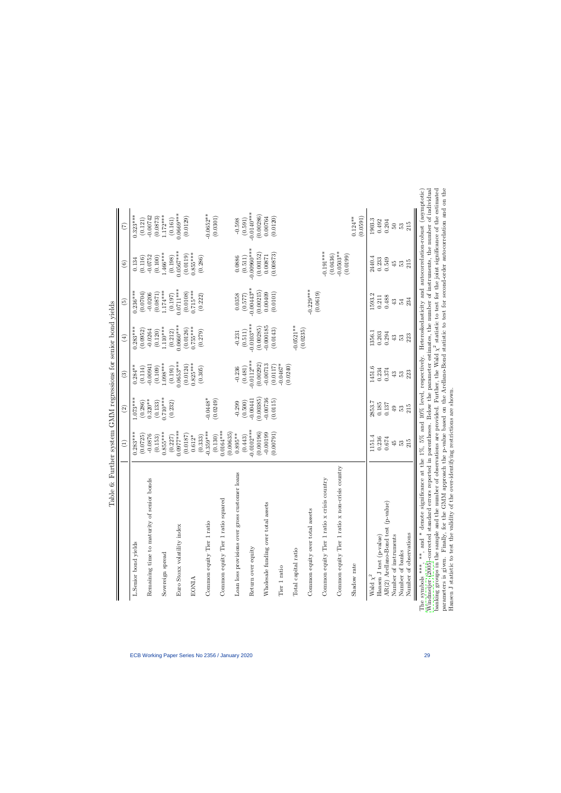<span id="page-29-0"></span>

| $-0.0140***$<br>$0.0669***$<br>$-0.0652**$<br>(0.00286)<br>$1.172***$<br>$0.323***$<br>$-0.00742$<br>(0.0301)<br>(0.0129)<br>(0.0120)<br>(0.0591)<br>(0.0873)<br>0.00764<br>$0.124**$<br>(0.161)<br>(0.121)<br>(0.591)<br>1903.3<br>0.204<br>0.492<br>50<br>53<br>$-0.00960$ ***<br>$0.0567***$<br>$-0.191***$<br>$-0.0503**$<br>(0.00873)<br>$0.855***$<br>(0.00152)<br>$1.466***$<br>(0.0119)<br>(0.0436)<br>(0.0199)<br>0.00871<br>$-0.0752$<br>(0.198)<br>(0.286)<br>(0.511)<br>(0.116)<br>(0.100)<br>0.0886<br>2440.4<br>0.233<br>0.549<br>0.134<br>45<br>53<br>$-0.00443**$<br>$0.0711***$<br>$-0.229***$<br>$0.715***$<br>$1.174***$<br>$0.236***$<br>(0.00215)<br>(0.0619)<br>(0.0108)<br>(0.0101)<br>(0.0704)<br>0.00409<br>(0.0871)<br>$-0.0206$<br>(0.222)<br>(0.197)<br>0.0358<br>(0.577)<br>1593.2<br>0.488<br>0.211<br>43<br>54<br>$-0.0103***$<br>$0.0660***$<br>$-0.0521**$<br>$-0.000185$<br>$0.755***$<br>$1.110***$<br>(0.00285)<br>$0.283***$<br>(0.0126)<br>(0.0143)<br>(0.0235)<br>(0.0952)<br>$-0.0264$<br>(0.279)<br>(0.120)<br>(0.212)<br>(0.511)<br>$-0.231$<br>1356.1<br>0.203<br>0.294<br>43<br>53<br>$\bigoplus$<br>$-0.0112***$<br>$0.0653***$<br>$0.825***$<br>$1.098***$<br>$-0.0467*$<br>(0.00292)<br>$-0.00713$<br>(0.0124)<br>$-0.00941$<br>(0.0117)<br>(0.0240)<br>$0.284**$<br>(0.191)<br>(0.114)<br>(0.109)<br>(0.305)<br>(0.481)<br>$-0.236$<br>1451.6<br>0.234<br>0.374<br>$43\,$<br>53<br>$\widehat{\mathbb{G}}$<br>(0.00385)<br>$0.710***$<br>$1.073***$<br>$-0.0448*$<br>$-0.00736$<br>(0.0249)<br>$-0.00441$<br>$0.320**$<br>(0.0115)<br>(0.133)<br>(0.500)<br>(0.286)<br>$-0.299$<br>(0.232)<br>2853.7<br>0.185<br>0.137<br>$\overline{6}$<br>E3<br>$\widehat{c}$<br>$0.0102***$<br>$0.0164***$<br>$0.0977***$<br>$-0.359***$<br>(0.00196)<br>(0.00635)<br>(0.00791)<br>$0.283***$<br>$0.855***$<br>$-0.00199$<br>$0.895**$<br>(0.0187)<br>(0.0725)<br>$-0.0876$<br>(0.130)<br>(0.153)<br>$0.612*$<br>(0.333)<br>(0.443)<br>(0.227)<br>1151.4<br>0.236<br>0.674<br>45<br>53<br>country<br>loans<br>Common equity Tier 1 ratio x crisis country<br>Remaining time to maturity of senior bonds<br>Common equity Tier 1 ratio x non-crisis<br>Loan loss provisions over gross customer<br>Common equity Tier 1 ratio squared<br>AR(2) Arellano-Bond test (p-value)<br>Wholesale funding over total assets<br>Common equity over total assets<br>Common equity Tier 1 ratio<br>Euro Stoxx volatility index<br>Number of instruments<br>Hansen J test (p-value)<br>L.Senior bond yields<br>Return over equity<br>Total capital ratio<br>Number of banks<br>Sovereign spread<br>Shadow rate<br>Tier 1 ratio<br>Wald $\chi^2$<br><b>EONIA</b> |
|-------------------------------------------------------------------------------------------------------------------------------------------------------------------------------------------------------------------------------------------------------------------------------------------------------------------------------------------------------------------------------------------------------------------------------------------------------------------------------------------------------------------------------------------------------------------------------------------------------------------------------------------------------------------------------------------------------------------------------------------------------------------------------------------------------------------------------------------------------------------------------------------------------------------------------------------------------------------------------------------------------------------------------------------------------------------------------------------------------------------------------------------------------------------------------------------------------------------------------------------------------------------------------------------------------------------------------------------------------------------------------------------------------------------------------------------------------------------------------------------------------------------------------------------------------------------------------------------------------------------------------------------------------------------------------------------------------------------------------------------------------------------------------------------------------------------------------------------------------------------------------------------------------------------------------------------------------------------------------------------------------------------------------------------------------------------------------------------------------------------------------------------------------------------------------------------------------------------------------------------------------------------------------------------------------------------------------------------------------------------------------------------------------------------------------------------------------------------------------------------------------------------------------------------------------------------------------------------------------------------------------------------------------------------------------------|
|                                                                                                                                                                                                                                                                                                                                                                                                                                                                                                                                                                                                                                                                                                                                                                                                                                                                                                                                                                                                                                                                                                                                                                                                                                                                                                                                                                                                                                                                                                                                                                                                                                                                                                                                                                                                                                                                                                                                                                                                                                                                                                                                                                                                                                                                                                                                                                                                                                                                                                                                                                                                                                                                                     |
|                                                                                                                                                                                                                                                                                                                                                                                                                                                                                                                                                                                                                                                                                                                                                                                                                                                                                                                                                                                                                                                                                                                                                                                                                                                                                                                                                                                                                                                                                                                                                                                                                                                                                                                                                                                                                                                                                                                                                                                                                                                                                                                                                                                                                                                                                                                                                                                                                                                                                                                                                                                                                                                                                     |
|                                                                                                                                                                                                                                                                                                                                                                                                                                                                                                                                                                                                                                                                                                                                                                                                                                                                                                                                                                                                                                                                                                                                                                                                                                                                                                                                                                                                                                                                                                                                                                                                                                                                                                                                                                                                                                                                                                                                                                                                                                                                                                                                                                                                                                                                                                                                                                                                                                                                                                                                                                                                                                                                                     |
|                                                                                                                                                                                                                                                                                                                                                                                                                                                                                                                                                                                                                                                                                                                                                                                                                                                                                                                                                                                                                                                                                                                                                                                                                                                                                                                                                                                                                                                                                                                                                                                                                                                                                                                                                                                                                                                                                                                                                                                                                                                                                                                                                                                                                                                                                                                                                                                                                                                                                                                                                                                                                                                                                     |
|                                                                                                                                                                                                                                                                                                                                                                                                                                                                                                                                                                                                                                                                                                                                                                                                                                                                                                                                                                                                                                                                                                                                                                                                                                                                                                                                                                                                                                                                                                                                                                                                                                                                                                                                                                                                                                                                                                                                                                                                                                                                                                                                                                                                                                                                                                                                                                                                                                                                                                                                                                                                                                                                                     |
|                                                                                                                                                                                                                                                                                                                                                                                                                                                                                                                                                                                                                                                                                                                                                                                                                                                                                                                                                                                                                                                                                                                                                                                                                                                                                                                                                                                                                                                                                                                                                                                                                                                                                                                                                                                                                                                                                                                                                                                                                                                                                                                                                                                                                                                                                                                                                                                                                                                                                                                                                                                                                                                                                     |
|                                                                                                                                                                                                                                                                                                                                                                                                                                                                                                                                                                                                                                                                                                                                                                                                                                                                                                                                                                                                                                                                                                                                                                                                                                                                                                                                                                                                                                                                                                                                                                                                                                                                                                                                                                                                                                                                                                                                                                                                                                                                                                                                                                                                                                                                                                                                                                                                                                                                                                                                                                                                                                                                                     |
|                                                                                                                                                                                                                                                                                                                                                                                                                                                                                                                                                                                                                                                                                                                                                                                                                                                                                                                                                                                                                                                                                                                                                                                                                                                                                                                                                                                                                                                                                                                                                                                                                                                                                                                                                                                                                                                                                                                                                                                                                                                                                                                                                                                                                                                                                                                                                                                                                                                                                                                                                                                                                                                                                     |
|                                                                                                                                                                                                                                                                                                                                                                                                                                                                                                                                                                                                                                                                                                                                                                                                                                                                                                                                                                                                                                                                                                                                                                                                                                                                                                                                                                                                                                                                                                                                                                                                                                                                                                                                                                                                                                                                                                                                                                                                                                                                                                                                                                                                                                                                                                                                                                                                                                                                                                                                                                                                                                                                                     |
|                                                                                                                                                                                                                                                                                                                                                                                                                                                                                                                                                                                                                                                                                                                                                                                                                                                                                                                                                                                                                                                                                                                                                                                                                                                                                                                                                                                                                                                                                                                                                                                                                                                                                                                                                                                                                                                                                                                                                                                                                                                                                                                                                                                                                                                                                                                                                                                                                                                                                                                                                                                                                                                                                     |
|                                                                                                                                                                                                                                                                                                                                                                                                                                                                                                                                                                                                                                                                                                                                                                                                                                                                                                                                                                                                                                                                                                                                                                                                                                                                                                                                                                                                                                                                                                                                                                                                                                                                                                                                                                                                                                                                                                                                                                                                                                                                                                                                                                                                                                                                                                                                                                                                                                                                                                                                                                                                                                                                                     |
|                                                                                                                                                                                                                                                                                                                                                                                                                                                                                                                                                                                                                                                                                                                                                                                                                                                                                                                                                                                                                                                                                                                                                                                                                                                                                                                                                                                                                                                                                                                                                                                                                                                                                                                                                                                                                                                                                                                                                                                                                                                                                                                                                                                                                                                                                                                                                                                                                                                                                                                                                                                                                                                                                     |
|                                                                                                                                                                                                                                                                                                                                                                                                                                                                                                                                                                                                                                                                                                                                                                                                                                                                                                                                                                                                                                                                                                                                                                                                                                                                                                                                                                                                                                                                                                                                                                                                                                                                                                                                                                                                                                                                                                                                                                                                                                                                                                                                                                                                                                                                                                                                                                                                                                                                                                                                                                                                                                                                                     |
|                                                                                                                                                                                                                                                                                                                                                                                                                                                                                                                                                                                                                                                                                                                                                                                                                                                                                                                                                                                                                                                                                                                                                                                                                                                                                                                                                                                                                                                                                                                                                                                                                                                                                                                                                                                                                                                                                                                                                                                                                                                                                                                                                                                                                                                                                                                                                                                                                                                                                                                                                                                                                                                                                     |
|                                                                                                                                                                                                                                                                                                                                                                                                                                                                                                                                                                                                                                                                                                                                                                                                                                                                                                                                                                                                                                                                                                                                                                                                                                                                                                                                                                                                                                                                                                                                                                                                                                                                                                                                                                                                                                                                                                                                                                                                                                                                                                                                                                                                                                                                                                                                                                                                                                                                                                                                                                                                                                                                                     |
|                                                                                                                                                                                                                                                                                                                                                                                                                                                                                                                                                                                                                                                                                                                                                                                                                                                                                                                                                                                                                                                                                                                                                                                                                                                                                                                                                                                                                                                                                                                                                                                                                                                                                                                                                                                                                                                                                                                                                                                                                                                                                                                                                                                                                                                                                                                                                                                                                                                                                                                                                                                                                                                                                     |
|                                                                                                                                                                                                                                                                                                                                                                                                                                                                                                                                                                                                                                                                                                                                                                                                                                                                                                                                                                                                                                                                                                                                                                                                                                                                                                                                                                                                                                                                                                                                                                                                                                                                                                                                                                                                                                                                                                                                                                                                                                                                                                                                                                                                                                                                                                                                                                                                                                                                                                                                                                                                                                                                                     |
|                                                                                                                                                                                                                                                                                                                                                                                                                                                                                                                                                                                                                                                                                                                                                                                                                                                                                                                                                                                                                                                                                                                                                                                                                                                                                                                                                                                                                                                                                                                                                                                                                                                                                                                                                                                                                                                                                                                                                                                                                                                                                                                                                                                                                                                                                                                                                                                                                                                                                                                                                                                                                                                                                     |
|                                                                                                                                                                                                                                                                                                                                                                                                                                                                                                                                                                                                                                                                                                                                                                                                                                                                                                                                                                                                                                                                                                                                                                                                                                                                                                                                                                                                                                                                                                                                                                                                                                                                                                                                                                                                                                                                                                                                                                                                                                                                                                                                                                                                                                                                                                                                                                                                                                                                                                                                                                                                                                                                                     |
|                                                                                                                                                                                                                                                                                                                                                                                                                                                                                                                                                                                                                                                                                                                                                                                                                                                                                                                                                                                                                                                                                                                                                                                                                                                                                                                                                                                                                                                                                                                                                                                                                                                                                                                                                                                                                                                                                                                                                                                                                                                                                                                                                                                                                                                                                                                                                                                                                                                                                                                                                                                                                                                                                     |
|                                                                                                                                                                                                                                                                                                                                                                                                                                                                                                                                                                                                                                                                                                                                                                                                                                                                                                                                                                                                                                                                                                                                                                                                                                                                                                                                                                                                                                                                                                                                                                                                                                                                                                                                                                                                                                                                                                                                                                                                                                                                                                                                                                                                                                                                                                                                                                                                                                                                                                                                                                                                                                                                                     |
|                                                                                                                                                                                                                                                                                                                                                                                                                                                                                                                                                                                                                                                                                                                                                                                                                                                                                                                                                                                                                                                                                                                                                                                                                                                                                                                                                                                                                                                                                                                                                                                                                                                                                                                                                                                                                                                                                                                                                                                                                                                                                                                                                                                                                                                                                                                                                                                                                                                                                                                                                                                                                                                                                     |
|                                                                                                                                                                                                                                                                                                                                                                                                                                                                                                                                                                                                                                                                                                                                                                                                                                                                                                                                                                                                                                                                                                                                                                                                                                                                                                                                                                                                                                                                                                                                                                                                                                                                                                                                                                                                                                                                                                                                                                                                                                                                                                                                                                                                                                                                                                                                                                                                                                                                                                                                                                                                                                                                                     |
|                                                                                                                                                                                                                                                                                                                                                                                                                                                                                                                                                                                                                                                                                                                                                                                                                                                                                                                                                                                                                                                                                                                                                                                                                                                                                                                                                                                                                                                                                                                                                                                                                                                                                                                                                                                                                                                                                                                                                                                                                                                                                                                                                                                                                                                                                                                                                                                                                                                                                                                                                                                                                                                                                     |
| 215<br>215<br>234<br>223<br>223<br>215<br>215<br>Number of observations                                                                                                                                                                                                                                                                                                                                                                                                                                                                                                                                                                                                                                                                                                                                                                                                                                                                                                                                                                                                                                                                                                                                                                                                                                                                                                                                                                                                                                                                                                                                                                                                                                                                                                                                                                                                                                                                                                                                                                                                                                                                                                                                                                                                                                                                                                                                                                                                                                                                                                                                                                                                             |

Table 6: Further system GMM regressions for senior bond vields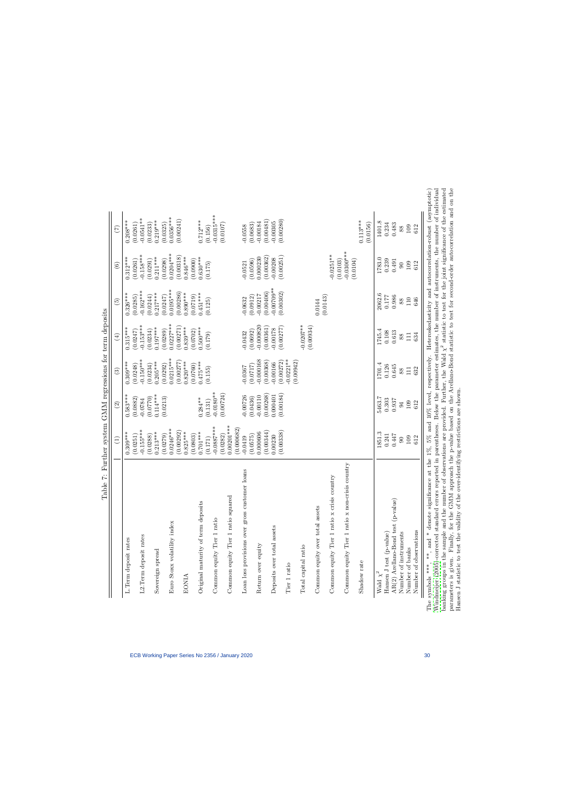| Table 7: Further system GMM regressions for term deposits                                  |                            |                          |                          |                          |                          |                          |                                                        |
|--------------------------------------------------------------------------------------------|----------------------------|--------------------------|--------------------------|--------------------------|--------------------------|--------------------------|--------------------------------------------------------|
|                                                                                            | $\widehat{\Xi}$            | $\widehat{\mathfrak{D}}$ | $\widehat{\mathbb{E}}$   | $\bigoplus$              | $\widetilde{5}$          | $\odot$                  | $\widetilde{C}$                                        |
| L. Term deposit rates                                                                      | $0.309***$                 | $0.583***$               | $0.309***$               | $0.315***$               | $0.326***$               | $0.312***$               | $0.208***$                                             |
|                                                                                            | (0.0251)                   | (0.0882)                 | (0.0248)                 | (0.0247)                 | (0.0285)                 | (0.0261)                 | (0.0261)                                               |
| L2.Term deposit rates                                                                      | $-0.155***$                | $-0.0784$                | $-0.150***$              | $-0.153***$              | $-0.162***$              | $-0.158***$              | $-0.0541**$                                            |
|                                                                                            | (0.0288)                   | (0.770)                  | (0.0234)                 | (0.0234)                 | (0.0244)                 | (0.0291)                 | (0.0233)                                               |
| Sovereign spread                                                                           | $0.213***$                 | $0.114***$               | $0.205***$               | $0.197***$               | $0.217***$               | $0.211***$               | $0.219***$                                             |
|                                                                                            | (0.0279)                   | (0.0213)                 | (0.0292)                 | (0.0289)                 | (0.0247)                 | (0.0298)                 | (0.0325)                                               |
| Euro Stoxx volatility index                                                                | $0.0246***$<br>(0.00292)   |                          | $0.0215***$<br>0.00277   | $0.0227***$<br>(0.00271) | $0.0195***$<br>(0.00286) | $0.0204***$<br>(0.00318) | $0.0356***$                                            |
| <b>EONIA</b>                                                                               | $0.825***$                 |                          | $0.820***$               | $0.839***$               | $0.890***$               | $0.846***$               | (0.00241)                                              |
|                                                                                            | (0.0803)                   |                          | (0.0760)                 | (0.0702)                 | (0.0719)                 | (0.0900)                 |                                                        |
| Original maturity of term deposits                                                         | $0.701***$                 | $0.284***$               | $0.475***$               | $0.500***$               | $0.451***$               | $0.630***$               | $0.712***$                                             |
| Common equity Tier 1 ratio                                                                 | $-0.0887***$<br>(0.171)    | $-0.0180**$<br>(0.131)   | (0.155)                  | (0.179)                  | (0.125)                  | (0.175)                  | $-0.0315***$<br>(0.156)                                |
|                                                                                            | (0.0282)                   | (0.00724)                |                          |                          |                          |                          | (0.0107)                                               |
| Common equity Tier 1 ratio square                                                          | $0.00201***$<br>(0.000682) |                          |                          |                          |                          |                          |                                                        |
| Loan loss provisions over gross customer loans                                             | $-0.0419$                  | $-0.00726$               | -0.0367                  | $-0.0432$                | $-0.0632$                | $-0.0521$                | $-0.0558$                                              |
|                                                                                            | (0.0575)                   | (0.0436)                 | (0.0717)                 | (0.0692)                 | (0.0912)                 | (0.0596)                 | (0.0683)                                               |
| Return over equity                                                                         | (0.00344)<br>0.000606      | (0.00268)<br>$-0.00110$  | $-0.000168$<br>(0.00368) | $-0.000820$<br>(0.00361) | (0.00406)<br>$-0.00217$  | (0.00362)<br>0.000230    | (0.00481)<br>$-0.00184$                                |
| Deposits over total assets                                                                 | 0.00230                    | 0.000401                 | $-0.00166$               | $-0.00178$               | $-0.00709**$             | $-0.00208$               | $-0.00305$                                             |
|                                                                                            | (0.00338)                  | (0.00184)                | (0.00272)                | (0.00277)                | (0.00302)                | (0.00251)                | (0.00280)                                              |
| Tier 1 ratio                                                                               |                            |                          | $-0.0221**$<br>(0.00942) |                          |                          |                          |                                                        |
| Total capital ratio                                                                        |                            |                          |                          | $-0.0207**$              |                          |                          |                                                        |
|                                                                                            |                            |                          |                          | (0.00934)                |                          |                          |                                                        |
| Common equity over total assets                                                            |                            |                          |                          |                          | 0.0144                   |                          |                                                        |
| Common equity Tier 1 ratio x crisis country                                                |                            |                          |                          |                          | (0.0143)                 | $-0.0251**$              |                                                        |
|                                                                                            |                            |                          |                          |                          |                          | (0.0103)                 |                                                        |
| Common equity Tier 1 ratio x non-crisis country                                            |                            |                          |                          |                          |                          | $-0.0300*$               |                                                        |
|                                                                                            |                            |                          |                          |                          |                          | (0.0104)                 |                                                        |
| Shadow rate                                                                                |                            |                          |                          |                          |                          |                          | $0.113***$<br>(0.0156)                                 |
| Wald $\chi^2$                                                                              | 1851.3                     | 5463.7                   | 1701.4                   | 1745.4                   | 2062.6                   | 1783.0                   | 1401.8                                                 |
| Hansen J test (p-value)                                                                    | 0.241                      | 0.303                    | 0.126                    | 0.108                    | 0.177                    | 0.239                    | 0.234                                                  |
| AR(2) Arellano-Bond test (p-value)                                                         | 0.447                      | 0.937                    | 0.645                    | 0.613                    | 0.986                    | 0.491                    | 0.483                                                  |
| Number of instruments                                                                      | $\overline{6}$             | 94                       | 88                       | 88                       | 88                       | $\overline{6}$           | 88                                                     |
| Number of banks                                                                            | 109                        | 109                      | $\Xi$                    | $\overline{11}$          | 110                      | $109\,$                  | 109                                                    |
| Number of observations                                                                     | 612                        | 612                      | 632                      | 634                      | 646                      | 612                      | 612                                                    |
| , and * denote significance at the 1%, 5% and 10% level, respectively.<br>symbols ***, **, |                            |                          |                          |                          |                          |                          | Heteroskedasticity and autocorrelation-robust (asympto |

otic) banking groups in the sample and the number of observations are provided. Further, the Wald  $\chi^2$  statistic to test for the joint significance of the estimated parameters is given. Finally, for the GMM approach the p-value based on the Arellano-Bond statistic to test for second-order autocorrelation and on the Hansen J statistic to test for second-order autocorrelation and on th Windmeijer (2005)-corrected standard errors reported in parentheses. Below the parameter estimates, the number of instruments, the number of individual [Windmeijer](#page-23-17) [\(2005\)](#page-23-17)-corrected standard errors reported in parentheses. Below the parameter estimates, the number of instruments, the number of individual banking groups in the sample and the number of observations are provided. Further, the Wald  $\chi^2$  statistic to test for the joint significance of the estimated parameters is given. Finally, for the GMM approach the p-value based on the Arellano-Bond statistic to test for second-order autocorrelation and on the The symbols \*\*\*, \*\*, and \* denote significance at the 1%, 5% and 10% level, respectively. Heteroskedasticity and autocorrelation-robust (asymptotic) Hansen J statistic to test the validity of the over-identifying restrictions are shown. The:

<span id="page-30-0"></span>Table 7: Further system GMM regressions for term deposits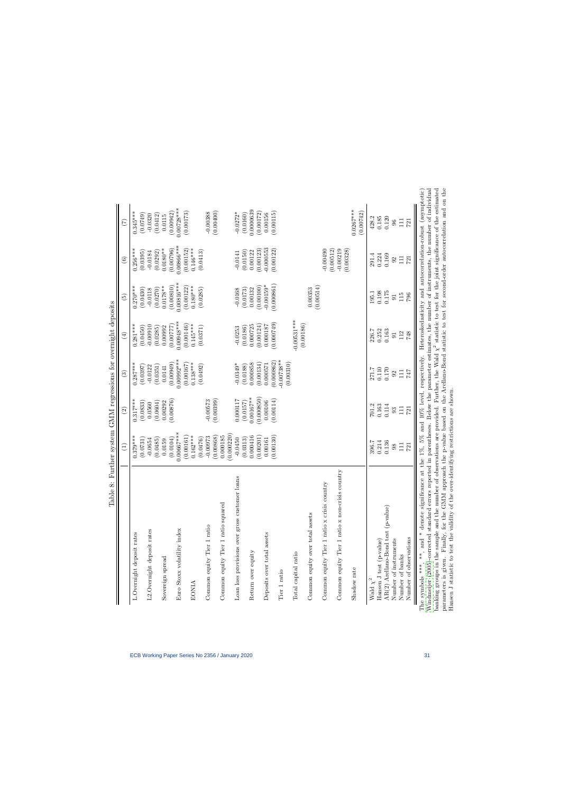<span id="page-31-0"></span>

| $0.00728***$<br>$0.0267***$<br>0.0000639<br>(0.00400)<br>$0.345***$<br>(0.00942)<br>(0.00173)<br>(0.00172)<br>(0.00742)<br>(0.00115)<br>$-0.00388$<br>$-0.0272*$<br>(0.0160)<br>0.00156<br>(0.0749)<br>(0.0412)<br>$-0.0320$<br>0.0115<br>0.120<br>0.185<br>428.2<br>111<br>96<br><b>721</b><br>0.00866***<br>$-0.000553$<br>(0.00796)<br>(0.00152)<br>$-0.00490$<br>$0.146***$<br>(0.00123)<br>(0.00122)<br>(0.00512)<br>(0.00328)<br>$0.0180**$<br>$-0.00219$<br>$0.256***$<br>(0.0413)<br>(0.0150)<br>(0.0292)<br>0.00122<br>(0.0395)<br>$-0.0184$<br>$-0.0141$<br>291.4<br>0.224<br>0.169<br>111<br>721<br>92<br>$0.00816***$<br>(0.000861)<br>$-0.00159*$<br>(0.00514)<br>(0.00810)<br>(0.00100)<br>(0.00122)<br>$0.0178**$<br>$0.180***$<br>$0.270***$<br>(0.0285)<br>(0.0430)<br>(0.0270)<br>0.00132<br>0.00353<br>$-0.0168$<br>(0.0173)<br>$-0.0118$<br>0.198<br>0.175<br>195.1<br>115<br>796<br>$\overline{5}$<br>$-0.00531***$<br>$0.00948***$<br>(0.000749)<br>(0.00186)<br>(0.00146)<br>$0.145***$<br>(0.00124)<br>$0.281***$<br>0.000725<br>0.000187<br>$-0.00910$<br>(0.00777)<br>(0.0371)<br>(0.0450)<br>(0.0186)<br>0.00992<br>(0.0285)<br>$-0.0253$<br>0.252<br>0.163<br>226.7<br>112<br>$748\,$<br>$\overline{5}$<br>$0.00992***$<br>$-0.00738**$<br>(0.000862)<br>$0.138***$<br>(0.00134)<br>(0.00949)<br>0.000858<br>(0.00310)<br>$-0.0349*$<br>$0.287***$<br>(0.00167)<br>0.000571<br>(0.0492)<br>(0.0188)<br>(0.0397)<br>(0.0351)<br>$-0.0122$<br>0.0141<br>0.110<br>0.170<br>271.7<br>111<br>747<br>92<br>$0.00167***$<br>(0.000850)<br>(0.00399)<br>(0.00114)<br>$0.317***$<br>(0.00876)<br>0.000117<br>$-0.00573$<br>0.00106<br>(0.0604)<br>(0.0833)<br>0.00292<br>(0.0157)<br>0.0560<br>0.114<br>0.163<br>701.2<br>111<br><b>721</b><br>93<br>$0.00667***$<br>(0.000220)<br>(0.00130)<br>(0.00868)<br>0.000185<br>0.000416<br>(0.00161)<br>$0.162***$<br>(0.00201)<br>$0.379***$<br>$-0.00973$<br>(0.0104)<br>(0.0476)<br>(0.0313)<br>$-0.0450$<br>0.00161<br>(0.0731)<br>(0.0485)<br>$-0.0654$<br>0.0159<br>0.214<br>0.136<br>396.7<br>$\Box$<br>721<br>98<br>Common equity Tier 1 ratio x non-crisis country<br>Loan loss provisions over gross customer loans<br>Common equity Tier 1 ratio x crisis country<br>Common equity Tier 1 ratio squared<br>AR(2) Arellano-Bond test (p-value)<br>Common equity over total assets<br>Common equity Tier 1 ratio<br>Euro Stoxx volatility index<br>L2.Overnight deposit rates<br>L.Overnight deposit rates<br>Deposits over total assets<br>Number of observations<br>Number of instruments<br>Hansen J test (p-value)<br>Return over equity<br>Total capital ratio<br>Number of banks<br>Sovereign spread<br>Shadow rate<br>Tier 1 ratio<br>Wald $\chi^2$<br><b>EONIA</b> |                                                                                                                                                                                                                                                                                                                                                                                                                                                                                                                                                                                                                                                                                                                                                | Table 8: Further system GMM regressions for overnight deposits | $\bigoplus$ | $\widehat{c}$ | $\widehat{\mathbb{G}}$ | $\bigoplus$ | $\widetilde{\mathfrak{G}}$ | $\odot$ | (7) |
|--------------------------------------------------------------------------------------------------------------------------------------------------------------------------------------------------------------------------------------------------------------------------------------------------------------------------------------------------------------------------------------------------------------------------------------------------------------------------------------------------------------------------------------------------------------------------------------------------------------------------------------------------------------------------------------------------------------------------------------------------------------------------------------------------------------------------------------------------------------------------------------------------------------------------------------------------------------------------------------------------------------------------------------------------------------------------------------------------------------------------------------------------------------------------------------------------------------------------------------------------------------------------------------------------------------------------------------------------------------------------------------------------------------------------------------------------------------------------------------------------------------------------------------------------------------------------------------------------------------------------------------------------------------------------------------------------------------------------------------------------------------------------------------------------------------------------------------------------------------------------------------------------------------------------------------------------------------------------------------------------------------------------------------------------------------------------------------------------------------------------------------------------------------------------------------------------------------------------------------------------------------------------------------------------------------------------------------------------------------------------------------------------------------------------------------------------------------------------------------------------------------------------------------------------------------------------------------------------------------------------------------------------------------------------------------------------------------------------------------------------|------------------------------------------------------------------------------------------------------------------------------------------------------------------------------------------------------------------------------------------------------------------------------------------------------------------------------------------------------------------------------------------------------------------------------------------------------------------------------------------------------------------------------------------------------------------------------------------------------------------------------------------------------------------------------------------------------------------------------------------------|----------------------------------------------------------------|-------------|---------------|------------------------|-------------|----------------------------|---------|-----|
|                                                                                                                                                                                                                                                                                                                                                                                                                                                                                                                                                                                                                                                                                                                                                                                                                                                                                                                                                                                                                                                                                                                                                                                                                                                                                                                                                                                                                                                                                                                                                                                                                                                                                                                                                                                                                                                                                                                                                                                                                                                                                                                                                                                                                                                                                                                                                                                                                                                                                                                                                                                                                                                                                                                                                  |                                                                                                                                                                                                                                                                                                                                                                                                                                                                                                                                                                                                                                                                                                                                                |                                                                |             |               |                        |             |                            |         |     |
|                                                                                                                                                                                                                                                                                                                                                                                                                                                                                                                                                                                                                                                                                                                                                                                                                                                                                                                                                                                                                                                                                                                                                                                                                                                                                                                                                                                                                                                                                                                                                                                                                                                                                                                                                                                                                                                                                                                                                                                                                                                                                                                                                                                                                                                                                                                                                                                                                                                                                                                                                                                                                                                                                                                                                  |                                                                                                                                                                                                                                                                                                                                                                                                                                                                                                                                                                                                                                                                                                                                                |                                                                |             |               |                        |             |                            |         |     |
|                                                                                                                                                                                                                                                                                                                                                                                                                                                                                                                                                                                                                                                                                                                                                                                                                                                                                                                                                                                                                                                                                                                                                                                                                                                                                                                                                                                                                                                                                                                                                                                                                                                                                                                                                                                                                                                                                                                                                                                                                                                                                                                                                                                                                                                                                                                                                                                                                                                                                                                                                                                                                                                                                                                                                  |                                                                                                                                                                                                                                                                                                                                                                                                                                                                                                                                                                                                                                                                                                                                                |                                                                |             |               |                        |             |                            |         |     |
|                                                                                                                                                                                                                                                                                                                                                                                                                                                                                                                                                                                                                                                                                                                                                                                                                                                                                                                                                                                                                                                                                                                                                                                                                                                                                                                                                                                                                                                                                                                                                                                                                                                                                                                                                                                                                                                                                                                                                                                                                                                                                                                                                                                                                                                                                                                                                                                                                                                                                                                                                                                                                                                                                                                                                  |                                                                                                                                                                                                                                                                                                                                                                                                                                                                                                                                                                                                                                                                                                                                                |                                                                |             |               |                        |             |                            |         |     |
|                                                                                                                                                                                                                                                                                                                                                                                                                                                                                                                                                                                                                                                                                                                                                                                                                                                                                                                                                                                                                                                                                                                                                                                                                                                                                                                                                                                                                                                                                                                                                                                                                                                                                                                                                                                                                                                                                                                                                                                                                                                                                                                                                                                                                                                                                                                                                                                                                                                                                                                                                                                                                                                                                                                                                  |                                                                                                                                                                                                                                                                                                                                                                                                                                                                                                                                                                                                                                                                                                                                                |                                                                |             |               |                        |             |                            |         |     |
|                                                                                                                                                                                                                                                                                                                                                                                                                                                                                                                                                                                                                                                                                                                                                                                                                                                                                                                                                                                                                                                                                                                                                                                                                                                                                                                                                                                                                                                                                                                                                                                                                                                                                                                                                                                                                                                                                                                                                                                                                                                                                                                                                                                                                                                                                                                                                                                                                                                                                                                                                                                                                                                                                                                                                  |                                                                                                                                                                                                                                                                                                                                                                                                                                                                                                                                                                                                                                                                                                                                                |                                                                |             |               |                        |             |                            |         |     |
|                                                                                                                                                                                                                                                                                                                                                                                                                                                                                                                                                                                                                                                                                                                                                                                                                                                                                                                                                                                                                                                                                                                                                                                                                                                                                                                                                                                                                                                                                                                                                                                                                                                                                                                                                                                                                                                                                                                                                                                                                                                                                                                                                                                                                                                                                                                                                                                                                                                                                                                                                                                                                                                                                                                                                  | parameters is given. Finally, for the GMM approach the p-value based on the Arellano-Bond statistic to test for second-order autocorrelation and on the<br>banking groups in the sample and the number of observations are provided. Further, the Wald $\chi^2$ statistic to test for the joint significance of the estimated<br>Windmeijer (2005)-corrected standard errors reported in parentheses. Below the parameter estimates, the number of instruments, the number of individual<br>**, and * denote significance at the 1%, 5% and 10% level, respectively. Heteroskedasticity and autocorrelation-robust (asymptotic)<br>Hansen J statistic to test the validity of the over-identifying restrictions are shown.<br>The symbols ***, |                                                                |             |               |                        |             |                            |         |     |
|                                                                                                                                                                                                                                                                                                                                                                                                                                                                                                                                                                                                                                                                                                                                                                                                                                                                                                                                                                                                                                                                                                                                                                                                                                                                                                                                                                                                                                                                                                                                                                                                                                                                                                                                                                                                                                                                                                                                                                                                                                                                                                                                                                                                                                                                                                                                                                                                                                                                                                                                                                                                                                                                                                                                                  |                                                                                                                                                                                                                                                                                                                                                                                                                                                                                                                                                                                                                                                                                                                                                |                                                                |             |               |                        |             |                            |         |     |
|                                                                                                                                                                                                                                                                                                                                                                                                                                                                                                                                                                                                                                                                                                                                                                                                                                                                                                                                                                                                                                                                                                                                                                                                                                                                                                                                                                                                                                                                                                                                                                                                                                                                                                                                                                                                                                                                                                                                                                                                                                                                                                                                                                                                                                                                                                                                                                                                                                                                                                                                                                                                                                                                                                                                                  |                                                                                                                                                                                                                                                                                                                                                                                                                                                                                                                                                                                                                                                                                                                                                |                                                                |             |               |                        |             |                            |         |     |
|                                                                                                                                                                                                                                                                                                                                                                                                                                                                                                                                                                                                                                                                                                                                                                                                                                                                                                                                                                                                                                                                                                                                                                                                                                                                                                                                                                                                                                                                                                                                                                                                                                                                                                                                                                                                                                                                                                                                                                                                                                                                                                                                                                                                                                                                                                                                                                                                                                                                                                                                                                                                                                                                                                                                                  |                                                                                                                                                                                                                                                                                                                                                                                                                                                                                                                                                                                                                                                                                                                                                |                                                                |             |               |                        |             |                            |         |     |
|                                                                                                                                                                                                                                                                                                                                                                                                                                                                                                                                                                                                                                                                                                                                                                                                                                                                                                                                                                                                                                                                                                                                                                                                                                                                                                                                                                                                                                                                                                                                                                                                                                                                                                                                                                                                                                                                                                                                                                                                                                                                                                                                                                                                                                                                                                                                                                                                                                                                                                                                                                                                                                                                                                                                                  |                                                                                                                                                                                                                                                                                                                                                                                                                                                                                                                                                                                                                                                                                                                                                |                                                                |             |               |                        |             |                            |         |     |
|                                                                                                                                                                                                                                                                                                                                                                                                                                                                                                                                                                                                                                                                                                                                                                                                                                                                                                                                                                                                                                                                                                                                                                                                                                                                                                                                                                                                                                                                                                                                                                                                                                                                                                                                                                                                                                                                                                                                                                                                                                                                                                                                                                                                                                                                                                                                                                                                                                                                                                                                                                                                                                                                                                                                                  |                                                                                                                                                                                                                                                                                                                                                                                                                                                                                                                                                                                                                                                                                                                                                |                                                                |             |               |                        |             |                            |         |     |
|                                                                                                                                                                                                                                                                                                                                                                                                                                                                                                                                                                                                                                                                                                                                                                                                                                                                                                                                                                                                                                                                                                                                                                                                                                                                                                                                                                                                                                                                                                                                                                                                                                                                                                                                                                                                                                                                                                                                                                                                                                                                                                                                                                                                                                                                                                                                                                                                                                                                                                                                                                                                                                                                                                                                                  |                                                                                                                                                                                                                                                                                                                                                                                                                                                                                                                                                                                                                                                                                                                                                |                                                                |             |               |                        |             |                            |         |     |
|                                                                                                                                                                                                                                                                                                                                                                                                                                                                                                                                                                                                                                                                                                                                                                                                                                                                                                                                                                                                                                                                                                                                                                                                                                                                                                                                                                                                                                                                                                                                                                                                                                                                                                                                                                                                                                                                                                                                                                                                                                                                                                                                                                                                                                                                                                                                                                                                                                                                                                                                                                                                                                                                                                                                                  |                                                                                                                                                                                                                                                                                                                                                                                                                                                                                                                                                                                                                                                                                                                                                |                                                                |             |               |                        |             |                            |         |     |
|                                                                                                                                                                                                                                                                                                                                                                                                                                                                                                                                                                                                                                                                                                                                                                                                                                                                                                                                                                                                                                                                                                                                                                                                                                                                                                                                                                                                                                                                                                                                                                                                                                                                                                                                                                                                                                                                                                                                                                                                                                                                                                                                                                                                                                                                                                                                                                                                                                                                                                                                                                                                                                                                                                                                                  |                                                                                                                                                                                                                                                                                                                                                                                                                                                                                                                                                                                                                                                                                                                                                |                                                                |             |               |                        |             |                            |         |     |
|                                                                                                                                                                                                                                                                                                                                                                                                                                                                                                                                                                                                                                                                                                                                                                                                                                                                                                                                                                                                                                                                                                                                                                                                                                                                                                                                                                                                                                                                                                                                                                                                                                                                                                                                                                                                                                                                                                                                                                                                                                                                                                                                                                                                                                                                                                                                                                                                                                                                                                                                                                                                                                                                                                                                                  |                                                                                                                                                                                                                                                                                                                                                                                                                                                                                                                                                                                                                                                                                                                                                |                                                                |             |               |                        |             |                            |         |     |
|                                                                                                                                                                                                                                                                                                                                                                                                                                                                                                                                                                                                                                                                                                                                                                                                                                                                                                                                                                                                                                                                                                                                                                                                                                                                                                                                                                                                                                                                                                                                                                                                                                                                                                                                                                                                                                                                                                                                                                                                                                                                                                                                                                                                                                                                                                                                                                                                                                                                                                                                                                                                                                                                                                                                                  |                                                                                                                                                                                                                                                                                                                                                                                                                                                                                                                                                                                                                                                                                                                                                |                                                                |             |               |                        |             |                            |         |     |
|                                                                                                                                                                                                                                                                                                                                                                                                                                                                                                                                                                                                                                                                                                                                                                                                                                                                                                                                                                                                                                                                                                                                                                                                                                                                                                                                                                                                                                                                                                                                                                                                                                                                                                                                                                                                                                                                                                                                                                                                                                                                                                                                                                                                                                                                                                                                                                                                                                                                                                                                                                                                                                                                                                                                                  |                                                                                                                                                                                                                                                                                                                                                                                                                                                                                                                                                                                                                                                                                                                                                |                                                                |             |               |                        |             |                            |         |     |
|                                                                                                                                                                                                                                                                                                                                                                                                                                                                                                                                                                                                                                                                                                                                                                                                                                                                                                                                                                                                                                                                                                                                                                                                                                                                                                                                                                                                                                                                                                                                                                                                                                                                                                                                                                                                                                                                                                                                                                                                                                                                                                                                                                                                                                                                                                                                                                                                                                                                                                                                                                                                                                                                                                                                                  |                                                                                                                                                                                                                                                                                                                                                                                                                                                                                                                                                                                                                                                                                                                                                |                                                                |             |               |                        |             |                            |         |     |
|                                                                                                                                                                                                                                                                                                                                                                                                                                                                                                                                                                                                                                                                                                                                                                                                                                                                                                                                                                                                                                                                                                                                                                                                                                                                                                                                                                                                                                                                                                                                                                                                                                                                                                                                                                                                                                                                                                                                                                                                                                                                                                                                                                                                                                                                                                                                                                                                                                                                                                                                                                                                                                                                                                                                                  |                                                                                                                                                                                                                                                                                                                                                                                                                                                                                                                                                                                                                                                                                                                                                |                                                                |             |               |                        |             |                            |         |     |
|                                                                                                                                                                                                                                                                                                                                                                                                                                                                                                                                                                                                                                                                                                                                                                                                                                                                                                                                                                                                                                                                                                                                                                                                                                                                                                                                                                                                                                                                                                                                                                                                                                                                                                                                                                                                                                                                                                                                                                                                                                                                                                                                                                                                                                                                                                                                                                                                                                                                                                                                                                                                                                                                                                                                                  |                                                                                                                                                                                                                                                                                                                                                                                                                                                                                                                                                                                                                                                                                                                                                |                                                                |             |               |                        |             |                            |         |     |
|                                                                                                                                                                                                                                                                                                                                                                                                                                                                                                                                                                                                                                                                                                                                                                                                                                                                                                                                                                                                                                                                                                                                                                                                                                                                                                                                                                                                                                                                                                                                                                                                                                                                                                                                                                                                                                                                                                                                                                                                                                                                                                                                                                                                                                                                                                                                                                                                                                                                                                                                                                                                                                                                                                                                                  |                                                                                                                                                                                                                                                                                                                                                                                                                                                                                                                                                                                                                                                                                                                                                |                                                                |             |               |                        |             |                            |         |     |
|                                                                                                                                                                                                                                                                                                                                                                                                                                                                                                                                                                                                                                                                                                                                                                                                                                                                                                                                                                                                                                                                                                                                                                                                                                                                                                                                                                                                                                                                                                                                                                                                                                                                                                                                                                                                                                                                                                                                                                                                                                                                                                                                                                                                                                                                                                                                                                                                                                                                                                                                                                                                                                                                                                                                                  |                                                                                                                                                                                                                                                                                                                                                                                                                                                                                                                                                                                                                                                                                                                                                |                                                                |             |               |                        |             |                            |         |     |
|                                                                                                                                                                                                                                                                                                                                                                                                                                                                                                                                                                                                                                                                                                                                                                                                                                                                                                                                                                                                                                                                                                                                                                                                                                                                                                                                                                                                                                                                                                                                                                                                                                                                                                                                                                                                                                                                                                                                                                                                                                                                                                                                                                                                                                                                                                                                                                                                                                                                                                                                                                                                                                                                                                                                                  |                                                                                                                                                                                                                                                                                                                                                                                                                                                                                                                                                                                                                                                                                                                                                |                                                                |             |               |                        |             |                            |         |     |
|                                                                                                                                                                                                                                                                                                                                                                                                                                                                                                                                                                                                                                                                                                                                                                                                                                                                                                                                                                                                                                                                                                                                                                                                                                                                                                                                                                                                                                                                                                                                                                                                                                                                                                                                                                                                                                                                                                                                                                                                                                                                                                                                                                                                                                                                                                                                                                                                                                                                                                                                                                                                                                                                                                                                                  |                                                                                                                                                                                                                                                                                                                                                                                                                                                                                                                                                                                                                                                                                                                                                |                                                                |             |               |                        |             |                            |         |     |
|                                                                                                                                                                                                                                                                                                                                                                                                                                                                                                                                                                                                                                                                                                                                                                                                                                                                                                                                                                                                                                                                                                                                                                                                                                                                                                                                                                                                                                                                                                                                                                                                                                                                                                                                                                                                                                                                                                                                                                                                                                                                                                                                                                                                                                                                                                                                                                                                                                                                                                                                                                                                                                                                                                                                                  |                                                                                                                                                                                                                                                                                                                                                                                                                                                                                                                                                                                                                                                                                                                                                |                                                                |             |               |                        |             |                            |         |     |
|                                                                                                                                                                                                                                                                                                                                                                                                                                                                                                                                                                                                                                                                                                                                                                                                                                                                                                                                                                                                                                                                                                                                                                                                                                                                                                                                                                                                                                                                                                                                                                                                                                                                                                                                                                                                                                                                                                                                                                                                                                                                                                                                                                                                                                                                                                                                                                                                                                                                                                                                                                                                                                                                                                                                                  |                                                                                                                                                                                                                                                                                                                                                                                                                                                                                                                                                                                                                                                                                                                                                |                                                                |             |               |                        |             |                            |         |     |
|                                                                                                                                                                                                                                                                                                                                                                                                                                                                                                                                                                                                                                                                                                                                                                                                                                                                                                                                                                                                                                                                                                                                                                                                                                                                                                                                                                                                                                                                                                                                                                                                                                                                                                                                                                                                                                                                                                                                                                                                                                                                                                                                                                                                                                                                                                                                                                                                                                                                                                                                                                                                                                                                                                                                                  |                                                                                                                                                                                                                                                                                                                                                                                                                                                                                                                                                                                                                                                                                                                                                |                                                                |             |               |                        |             |                            |         |     |
|                                                                                                                                                                                                                                                                                                                                                                                                                                                                                                                                                                                                                                                                                                                                                                                                                                                                                                                                                                                                                                                                                                                                                                                                                                                                                                                                                                                                                                                                                                                                                                                                                                                                                                                                                                                                                                                                                                                                                                                                                                                                                                                                                                                                                                                                                                                                                                                                                                                                                                                                                                                                                                                                                                                                                  |                                                                                                                                                                                                                                                                                                                                                                                                                                                                                                                                                                                                                                                                                                                                                |                                                                |             |               |                        |             |                            |         |     |
|                                                                                                                                                                                                                                                                                                                                                                                                                                                                                                                                                                                                                                                                                                                                                                                                                                                                                                                                                                                                                                                                                                                                                                                                                                                                                                                                                                                                                                                                                                                                                                                                                                                                                                                                                                                                                                                                                                                                                                                                                                                                                                                                                                                                                                                                                                                                                                                                                                                                                                                                                                                                                                                                                                                                                  |                                                                                                                                                                                                                                                                                                                                                                                                                                                                                                                                                                                                                                                                                                                                                |                                                                |             |               |                        |             |                            |         |     |
|                                                                                                                                                                                                                                                                                                                                                                                                                                                                                                                                                                                                                                                                                                                                                                                                                                                                                                                                                                                                                                                                                                                                                                                                                                                                                                                                                                                                                                                                                                                                                                                                                                                                                                                                                                                                                                                                                                                                                                                                                                                                                                                                                                                                                                                                                                                                                                                                                                                                                                                                                                                                                                                                                                                                                  |                                                                                                                                                                                                                                                                                                                                                                                                                                                                                                                                                                                                                                                                                                                                                |                                                                |             |               |                        |             |                            |         |     |
|                                                                                                                                                                                                                                                                                                                                                                                                                                                                                                                                                                                                                                                                                                                                                                                                                                                                                                                                                                                                                                                                                                                                                                                                                                                                                                                                                                                                                                                                                                                                                                                                                                                                                                                                                                                                                                                                                                                                                                                                                                                                                                                                                                                                                                                                                                                                                                                                                                                                                                                                                                                                                                                                                                                                                  |                                                                                                                                                                                                                                                                                                                                                                                                                                                                                                                                                                                                                                                                                                                                                |                                                                |             |               |                        |             |                            |         |     |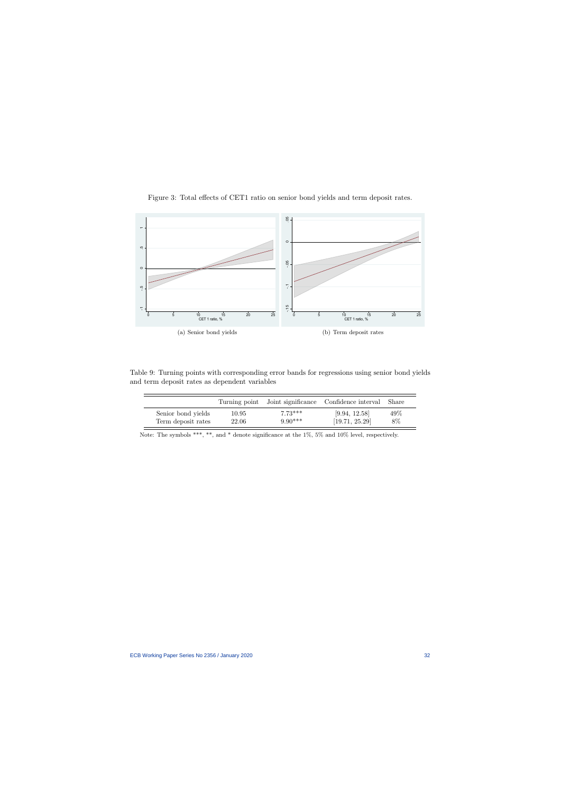

Figure 3: Total effects of CET1 ratio on senior bond yields and term deposit rates.

<span id="page-32-1"></span>Table 9: Turning points with corresponding error bands for regressions using senior bond yields and term deposit rates as dependent variables

|                    |       |           | Turning point Joint significance Confidence interval Share |     |
|--------------------|-------|-----------|------------------------------------------------------------|-----|
| Senior bond yields | 10.95 | $7.73***$ | [9.94, 12.58]                                              | 49% |
| Term deposit rates | 22.06 | $9.90***$ | [19.71, 25.29]                                             | 8%  |

<span id="page-32-0"></span>Note: The symbols \*\*\*, \*\*, and \* denote significance at the 1%, 5% and 10% level, respectively.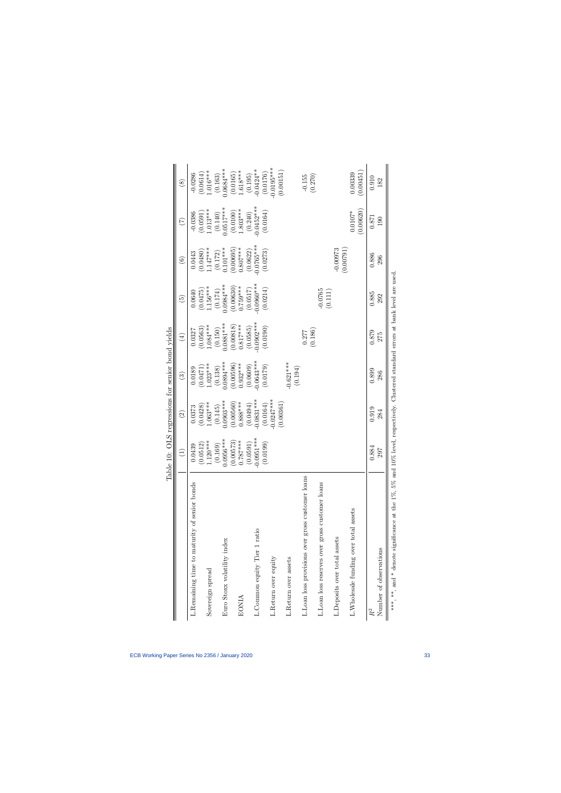<span id="page-33-0"></span>

|                                                                                                                                | Table                                  | 10: OLS regressions for senior bond yields |               |                      |               |                        |                        |               |
|--------------------------------------------------------------------------------------------------------------------------------|----------------------------------------|--------------------------------------------|---------------|----------------------|---------------|------------------------|------------------------|---------------|
|                                                                                                                                | $\begin{array}{c} \square \end{array}$ | $\widehat{\Omega}$                         | $\widehat{c}$ | $\left( \pm \right)$ | $\widehat{E}$ | $\widehat{\mathbf{e}}$ | E                      | $\circledast$ |
| L. Remaining time to maturity of senior bonds                                                                                  | 0.0439                                 | 0.0373                                     | 0.0189        | 0.0327               | 0.0640        | 0.0443                 | $-0.0386$              | $-0.0286$     |
|                                                                                                                                | (0.0512)                               | (0.0428)                                   | (0.0471)      | (0.0563)             | (0.0475)      | (0.0480)               | $(0.0591)$<br>1.013*** | (0.0614)      |
| Sovereign spread                                                                                                               | $.120***$                              | $1.063***$                                 | $-023***$     | $1.084***$           | $.156***$     | .147***                |                        | $-016***$     |
|                                                                                                                                | (0.169)                                | (0.145)                                    | (0.138)       | (0.150)              | (0.174)       | (0.172)                | (0.140)                | (0.163)       |
| Euro Stoxx volatility index                                                                                                    | $0.0956***$                            | $0.0903***$                                | $0.0894***$   | $0.0881***$          | $0.0984***$   | $0.101***$             | $0.0517***$            | $0.0684***$   |
|                                                                                                                                | $(0.00573)$<br>0.787***                | (0.00560)                                  | (0.00596)     | (0.00818)            | (0.00630)     | (0.00695)              | (0.0100)               | (0.0165)      |
| <b>EONIA</b>                                                                                                                   |                                        | $0.888***$                                 | $0.932***$    | $0.817***$           | $0.759***$    | $0.807***$             | $-.803***$             | $1.618***$    |
|                                                                                                                                | (0.0591)                               | (0.0494)                                   | (0.0609)      | (0.0585)             | (0.0517)      | (0.0622)               | (0.240)                | (0.195)       |
| L.Common equity Tier 1 ratio                                                                                                   | $-0.0951***$                           | $-0.0831***$                               | $-0.0643***$  | $-0.0902***$         | $0.0960***$   | $0.0765***$            | $0.0452***$            | $-0.0424***$  |
|                                                                                                                                | (6.0199)                               | (0.0164)                                   | (0.179)       | (0.0190)             | (0.0214)      | (0.0273)               | (0.0164)               | (0.0176)      |
| L.Return over equity                                                                                                           |                                        | $0.0247***$                                |               |                      |               |                        |                        | $0.0195***$   |
|                                                                                                                                |                                        | (0.00361)                                  |               |                      |               |                        |                        | (0.00151)     |
| L.Return over assets                                                                                                           |                                        |                                            | $-0.621***$   |                      |               |                        |                        |               |
|                                                                                                                                |                                        |                                            | (0.194)       |                      |               |                        |                        |               |
| L.Loan loss provisions over gross customer loans                                                                               |                                        |                                            |               | 0.277                |               |                        |                        | $-0.155$      |
|                                                                                                                                |                                        |                                            |               | (0.186)              |               |                        |                        | (0.270)       |
| L.Loan loss reserves over gross customer loans                                                                                 |                                        |                                            |               |                      | $-0.0765$     |                        |                        |               |
|                                                                                                                                |                                        |                                            |               |                      | (0.111)       |                        |                        |               |
| L.Deposits over total assets                                                                                                   |                                        |                                            |               |                      |               | $-0.00973$             |                        |               |
|                                                                                                                                |                                        |                                            |               |                      |               | (0.00791)              |                        |               |
| L. Wholesale funding over total assets                                                                                         |                                        |                                            |               |                      |               |                        | $0.0107*$              | 0.00339       |
|                                                                                                                                |                                        |                                            |               |                      |               |                        | (0.00620)              | (0.00451)     |
| $\ensuremath{R^2}$                                                                                                             | 0.884                                  | 0.919                                      | 0.899         | 0.879                | 0.885         | 0.886                  | 0.871                  | 0.910         |
| Number of observations                                                                                                         | 797                                    | 284                                        | 286           | 275                  | 292           | 296                    | 190                    | 182           |
| ***, **, and * denote significance at the 1%, 5% and 10% level, respectively. Clustered standard errors at bank level are used |                                        |                                            |               |                      |               |                        |                        |               |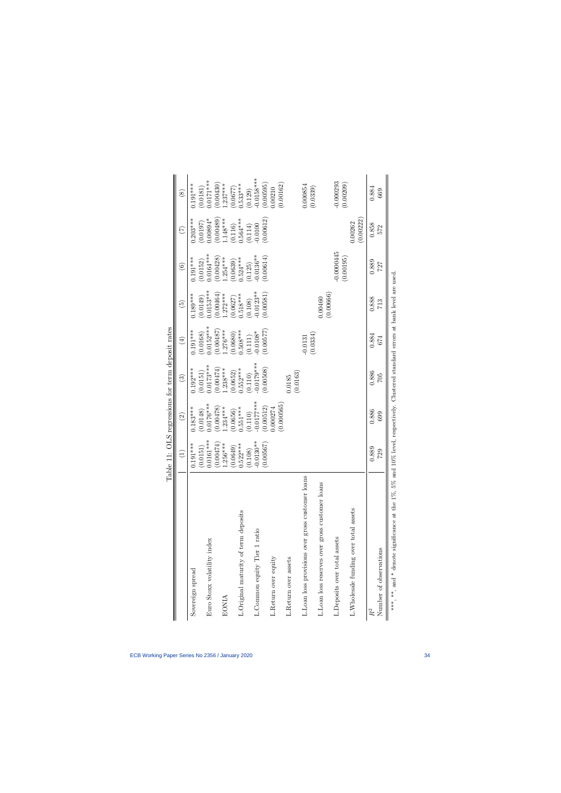<span id="page-34-0"></span>

|                                                                                                                                | $\widehat{\Xi}$ | $\widehat{\infty}$ | $\odot$     | $\bigoplus$ | $\widetilde{\Xi}$ | $\widehat{\mathbf{e}}$  | E                    | $\circledast$ |
|--------------------------------------------------------------------------------------------------------------------------------|-----------------|--------------------|-------------|-------------|-------------------|-------------------------|----------------------|---------------|
| Sovereign spread                                                                                                               | $0.191***$      | $0.183***$         | $0.192***$  | $0.191***$  | $0.189***$        | $0.191***$              | $0.203***$           | $0.191***$    |
|                                                                                                                                | (0.0151)        | (0.0148)           | (0.0151)    | (0.0168)    | (0.0149)          | (0.0152)                | (0.0197)             | (0.0181)      |
| Euro Stoxx volatility index                                                                                                    | $0.0161***$     | $0.0176***$        | $0.0173***$ | $0.0152***$ | $0.0153***$       | $0.0164***$             | $0.00894*$           | $0.0171***$   |
|                                                                                                                                | (0.00474)       | (0.00478)          | (0.00474)   | (0.00487)   | (0.00464)         | $(0.00428)$<br>1.254*** | 0.00489              | 0.00430       |
| <b>EONIA</b>                                                                                                                   | $1.256***$      | $1.234***$         | $.238***$   | $1.276***$  | $1.272***$        |                         | $1.148***$           | $.237***$     |
|                                                                                                                                | (6100.0)        | 0.0656)            | 0.0652)     | (0.0680)    | (0.0627)          | (0.0639)                | (0.116)              | 0.0677)       |
| L. Original maturity of term deposits                                                                                          | $0.522***$      | $0.551***$         | $0.552***$  | $.508***$   | $0.518***$        | $.524***$               | $0.564***$           | $0.533***$    |
|                                                                                                                                | (0.108)         | (0.110)            | (0.110)     | (0.111)     | (0.108)           | (0.125)                 | $(0.114)$<br>-0.0100 | (0.129)       |
| L.Common equity Tier 1 ratio                                                                                                   | $0.0130**$      | $0.0177***$        | $0.0179***$ | $0.0108*$   | $0.0123**$        | $0.0136***$             |                      | $0.0158***$   |
|                                                                                                                                | (0.00567)       | 0.00512            | (0.00508)   | (0.00577)   | (0.00581)         | (0.00614)               | (0.00612)            | (0.00595)     |
| L.Return over equity                                                                                                           |                 | 0.000274           |             |             |                   |                         |                      | 0.00210       |
|                                                                                                                                |                 | (0.000565)         |             |             |                   |                         |                      | (0.00162)     |
| L.Return over assets                                                                                                           |                 |                    | 0.0185      |             |                   |                         |                      |               |
|                                                                                                                                |                 |                    | (0.0163)    |             |                   |                         |                      |               |
| L.Loan loss provisions over gross customer loans                                                                               |                 |                    |             | $-0.0131$   |                   |                         |                      | 0.000854      |
|                                                                                                                                |                 |                    |             | (0.0334)    |                   |                         |                      | (0.0339)      |
| L.Loan loss reserves over gross customer loans                                                                                 |                 |                    |             |             | 0.00460           |                         |                      |               |
|                                                                                                                                |                 |                    |             |             | (0.00666)         |                         |                      |               |
| L.Deposits over total assets                                                                                                   |                 |                    |             |             |                   | $-0.0000445$            |                      | $-0.000293$   |
|                                                                                                                                |                 |                    |             |             |                   | (0.00195)               |                      | (0.00209)     |
| L. Wholesale funding over total assets                                                                                         |                 |                    |             |             |                   |                         | 0.0262               |               |
|                                                                                                                                |                 |                    |             |             |                   |                         | (0.00222)            |               |
|                                                                                                                                | 0.889           | 0.886              | 0.886       | 0.884       | 0.888             | 0.889                   | 0.858                | 0.884         |
| Number of observations                                                                                                         | 729             | 699                | 705         | 674         | 713               | 727                     | 572                  | 669           |
| ***, **, and * denote significance at the 1%, 5% and 10% level, respectively. Clustered standard errors at bank level are used |                 |                    |             |             |                   |                         |                      |               |

Table 11: OLS regressions for term deposit rates Table 11: OLS regressions for term deposit rates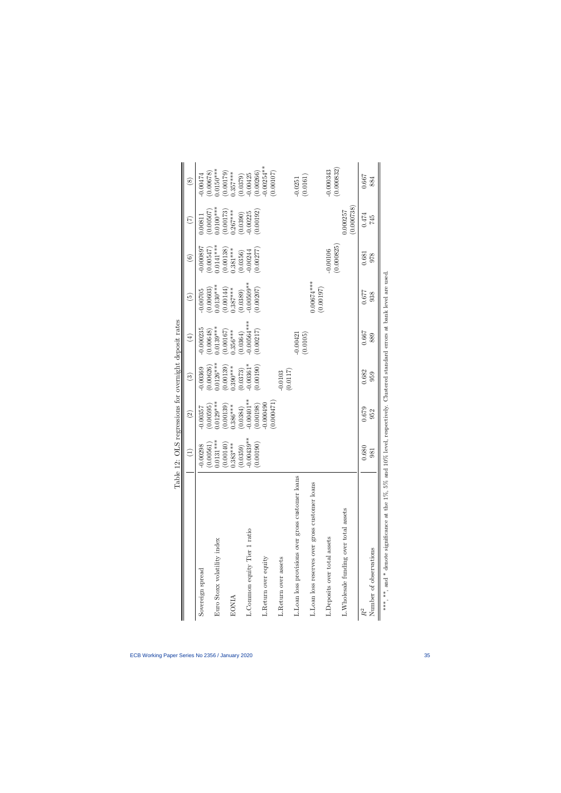<span id="page-35-0"></span>

|                                                         |                            | $\mathbf{c}$             | .<br>O                  |                                                                         |                           |                           |                         |                           |
|---------------------------------------------------------|----------------------------|--------------------------|-------------------------|-------------------------------------------------------------------------|---------------------------|---------------------------|-------------------------|---------------------------|
|                                                         |                            | $\odot$                  | $\odot$                 | $(\pm)$                                                                 | $\widetilde{5}$           | $\widehat{\mathbf{e}}$    | E                       | $\circledast$             |
| Sovereign spread                                        | $-0.00298$                 | 0.00595<br>$-0.00357$    | (0.00626)<br>$-0.00369$ | 0.000235<br>0.00648                                                     | 0.00603)<br>$-0.00705$    | $-0.000897$<br>0.00547    | (0.00507)<br>0.0081     | 0.00678<br>$-0.00474$     |
| Euro Stoxx volatility index                             | $(0.00561)$<br>$0.0131***$ | $0.0129***$              | $0.0126***$             | $0.0139***$                                                             | $0.0130***$               | $0.0141***$               | $0.0100***$             | $0.0150***$               |
| EONIA                                                   | $(0.00140)$ $(0.383***$    | (0.00139)<br>$0.386***$  | 0.00139)<br>$0.390***$  | 0.00167<br>$0.356***$                                                   | (0.00144)<br>$0.387***$   | $(0.00138)$<br>$0.381***$ | (0.00173)<br>$0.267***$ | (67100.001)<br>$0.357***$ |
| L.Common equity Tier 1 ratio                            | $(0.0359)$<br>-0.00439**   | $-0.00401**$<br>(0.0384) | $-0.00361*$<br>(0.0373) | $0.00564***$<br>(0.0364)                                                | $0.00509**$<br>(0.0389)   | 0.00244<br>0.0356)        | 0.00225<br>(0.0390)     | 0.00425<br>(0.0379)       |
|                                                         | (00190)<br>$\dot{\circ}$   | 0.00198)                 | (0.00190)               | (0.00217)                                                               | (0.00207)                 | 0.00277                   | (0.00192)               | 0.00266                   |
| L.Return over equity                                    |                            | 0.000490                 |                         |                                                                         |                           |                           |                         | $0.00254***$              |
| L.Return over assets                                    |                            | (0.000471)               | (0.0117)<br>0.0103      |                                                                         |                           |                           |                         | (0.00107)                 |
| L.Loan loss provisions over gross customer loans        |                            |                          |                         | $-0.00421$<br>(0.0105)                                                  |                           |                           |                         | (0.0161)<br>$-0.0251$     |
| L.Loan loss reserves over gross customer loans          |                            |                          |                         |                                                                         | $0.00674***$<br>(0.00197) |                           |                         |                           |
| L.Deposits over total assets                            |                            |                          |                         |                                                                         |                           | (0.000825)<br>$-0.00106$  |                         | (0.000832)<br>$-0.000343$ |
| L. Wholesale funding over total assets                  |                            |                          |                         |                                                                         |                           |                           | (0.000738)<br>1.000257  |                           |
| $R^2$                                                   | 0.680                      | 0.679                    | 0.682                   | 0.667                                                                   | 0.677                     | 0.681                     | 0.474                   | 0.667                     |
| Number of observations                                  | <b>98</b>                  | 952                      | 959                     | 889                                                                     | 938                       | 978                       | 745                     | 884                       |
| ***, **, and * denote significance at the 1%, 5% and 10 |                            |                          |                         | % level, respectively. Clustered standard errors at bank level are used |                           |                           |                         |                           |

Table 12: OLS regressions for overnight deposit rates Table 12: OLS regressions for overnight deposit rates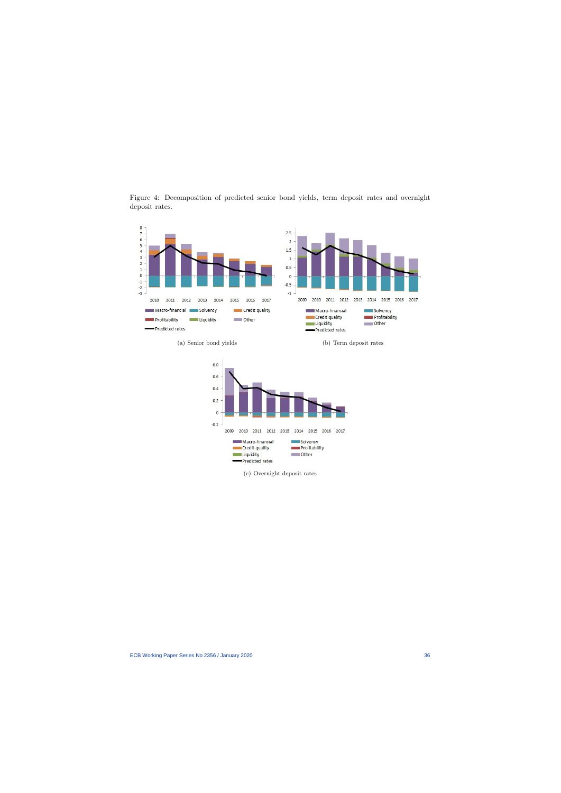<span id="page-36-0"></span>

Figure 4: Decomposition of predicted senior bond yields, term deposit rates and overnight deposit rates.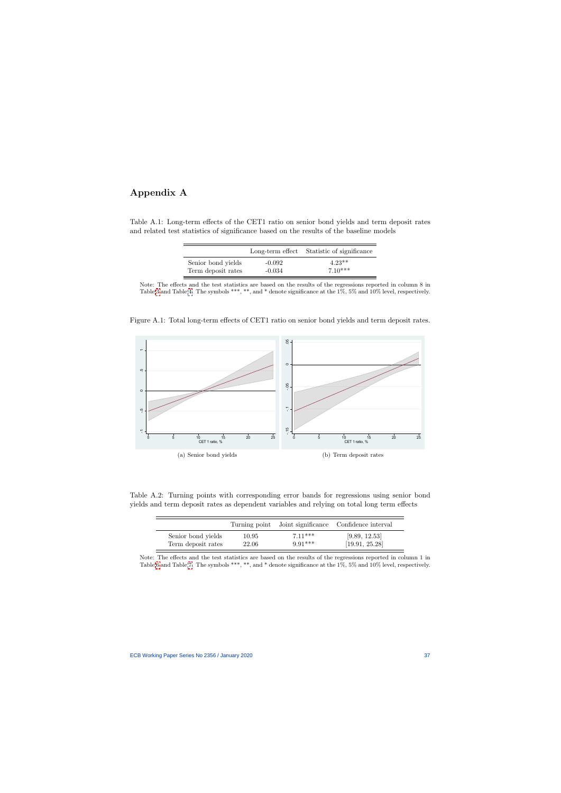## Appendix A

Table A.1: Long-term effects of the CET1 ratio on senior bond yields and term deposit rates and related test statistics of significance based on the results of the baseline models

|                    |          | Long-term effect Statistic of significance |
|--------------------|----------|--------------------------------------------|
| Senior bond yields | $-0.092$ | $4.23**$                                   |
| Term deposit rates | $-0.034$ | $7.10***$                                  |

Note: The effects and the test statistics are based on the results of the regressions reported in column 8 in Table [3](#page-26-0) and Table [4.](#page-27-0) The symbols \*\*\*, \*\*, and \* denote significance at the 1%, 5% and 10% level, respectively.

Figure A.1: Total long-term effects of CET1 ratio on senior bond yields and term deposit rates.

<span id="page-37-0"></span>

<span id="page-37-1"></span>Table A.2: Turning points with corresponding error bands for regressions using senior bond yields and term deposit rates as dependent variables and relying on total long term effects

|                    |       |           | Turning point Joint significance Confidence interval |
|--------------------|-------|-----------|------------------------------------------------------|
| Senior bond yields | 10.95 | $7.11***$ | [9.89, 12.53]                                        |
| Term deposit rates | 22.06 | $9.91***$ | [19.91, 25.28]                                       |

<span id="page-37-2"></span>Note: The effects and the test statistics are based on the results of the regressions reported in column 1 in Table [6](#page-29-0) and Table [7.](#page-30-0) The symbols \*\*\*, \*\*, and \* denote significance at the 1%, 5% and 10% level, respectively.